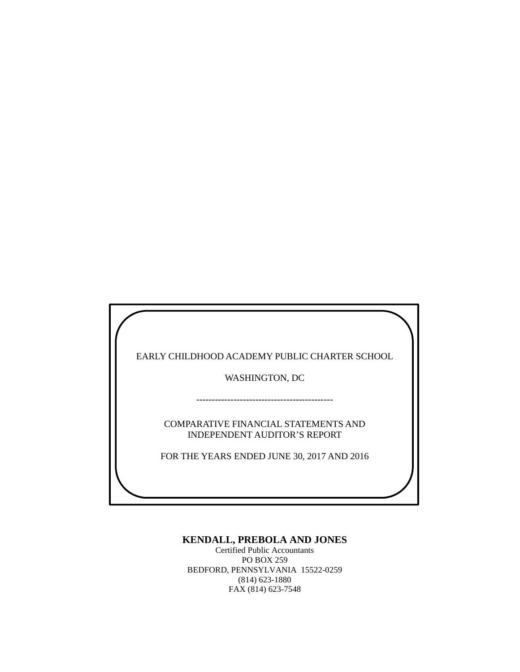EARLY CHILDHOOD ACADEMY PUBLIC CHARTER SCHOOL

WASHINGTON, DC

--------------------------------------------

COMPARATIVE FINANCIAL STATEMENTS AND INDEPENDENT AUDITOR'S REPORT

FOR THE YEARS ENDED JUNE 30, 2017 AND 2016

# **KENDALL, PREBOLA AND JONES**

Certified Public Accountants PO BOX 259 BEDFORD, PENNSYLVANIA 15522-0259 (814) 623-1880 FAX (814) 623-7548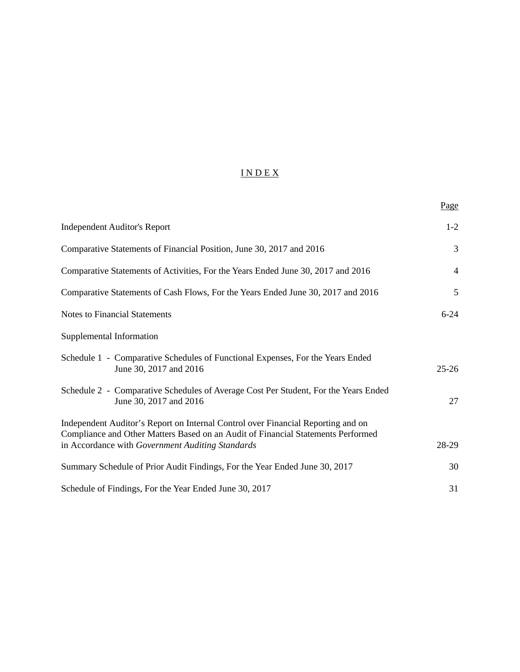# I N D E X

|                                                                                                                                                                                                                          | Page           |
|--------------------------------------------------------------------------------------------------------------------------------------------------------------------------------------------------------------------------|----------------|
| <b>Independent Auditor's Report</b>                                                                                                                                                                                      | $1-2$          |
| Comparative Statements of Financial Position, June 30, 2017 and 2016                                                                                                                                                     | 3              |
| Comparative Statements of Activities, For the Years Ended June 30, 2017 and 2016                                                                                                                                         | $\overline{4}$ |
| Comparative Statements of Cash Flows, For the Years Ended June 30, 2017 and 2016                                                                                                                                         | 5              |
| <b>Notes to Financial Statements</b>                                                                                                                                                                                     | $6 - 24$       |
| Supplemental Information                                                                                                                                                                                                 |                |
| Schedule 1 - Comparative Schedules of Functional Expenses, For the Years Ended<br>June 30, 2017 and 2016                                                                                                                 | $25 - 26$      |
| Schedule 2 - Comparative Schedules of Average Cost Per Student, For the Years Ended<br>June 30, 2017 and 2016                                                                                                            | 27             |
| Independent Auditor's Report on Internal Control over Financial Reporting and on<br>Compliance and Other Matters Based on an Audit of Financial Statements Performed<br>in Accordance with Government Auditing Standards | 28-29          |
| Summary Schedule of Prior Audit Findings, For the Year Ended June 30, 2017                                                                                                                                               | 30             |
| Schedule of Findings, For the Year Ended June 30, 2017                                                                                                                                                                   | 31             |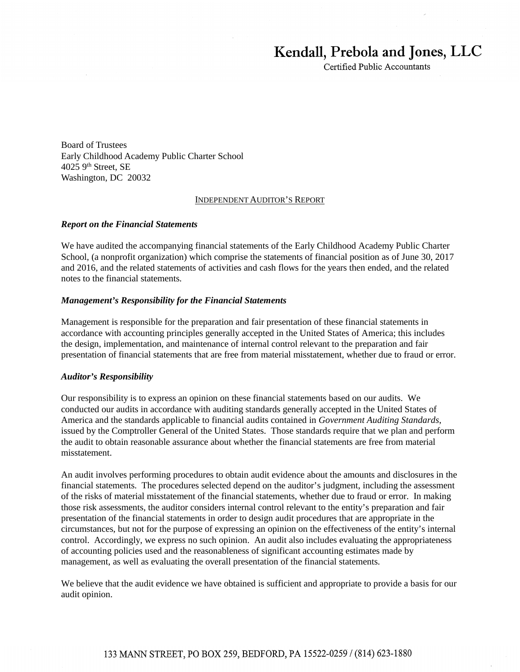# Kendall, Prebola and Jones, LLC

Certified Public Accountants

Board of Trustees Early Childhood Academy Public Charter School 4025 9th Street, SE Washington, DC 20032

#### INDEPENDENT AUDITOR'S REPORT

#### *Report on the Financial Statements*

We have audited the accompanying financial statements of the Early Childhood Academy Public Charter School, (a nonprofit organization) which comprise the statements of financial position as of June 30, 2017 and 2016, and the related statements of activities and cash flows for the years then ended, and the related notes to the financial statements.

#### *Management's Responsibility for the Financial Statements*

Management is responsible for the preparation and fair presentation of these financial statements in accordance with accounting principles generally accepted in the United States of America; this includes the design, implementation, and maintenance of internal control relevant to the preparation and fair presentation of financial statements that are free from material misstatement, whether due to fraud or error.

#### *Auditor's Responsibility*

Our responsibility is to express an opinion on these financial statements based on our audits. We conducted our audits in accordance with auditing standards generally accepted in the United States of America and the standards applicable to financial audits contained in *Government Auditing Standards*, issued by the Comptroller General of the United States. Those standards require that we plan and perform the audit to obtain reasonable assurance about whether the financial statements are free from material misstatement.

An audit involves performing procedures to obtain audit evidence about the amounts and disclosures in the financial statements. The procedures selected depend on the auditor's judgment, including the assessment of the risks of material misstatement of the financial statements, whether due to fraud or error. In making those risk assessments, the auditor considers internal control relevant to the entity's preparation and fair presentation of the financial statements in order to design audit procedures that are appropriate in the circumstances, but not for the purpose of expressing an opinion on the effectiveness of the entity's internal control. Accordingly, we express no such opinion. An audit also includes evaluating the appropriateness of accounting policies used and the reasonableness of significant accounting estimates made by management, as well as evaluating the overall presentation of the financial statements.

We believe that the audit evidence we have obtained is sufficient and appropriate to provide a basis for our audit opinion.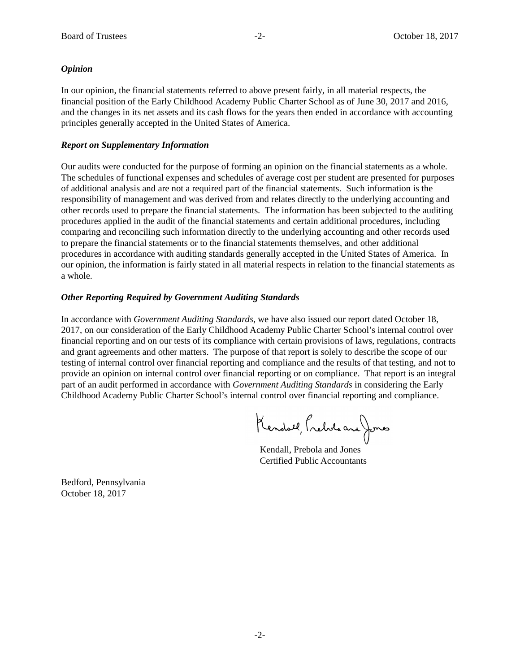## *Opinion*

In our opinion, the financial statements referred to above present fairly, in all material respects, the financial position of the Early Childhood Academy Public Charter School as of June 30, 2017 and 2016, and the changes in its net assets and its cash flows for the years then ended in accordance with accounting principles generally accepted in the United States of America.

# *Report on Supplementary Information*

Our audits were conducted for the purpose of forming an opinion on the financial statements as a whole. The schedules of functional expenses and schedules of average cost per student are presented for purposes of additional analysis and are not a required part of the financial statements. Such information is the responsibility of management and was derived from and relates directly to the underlying accounting and other records used to prepare the financial statements. The information has been subjected to the auditing procedures applied in the audit of the financial statements and certain additional procedures, including comparing and reconciling such information directly to the underlying accounting and other records used to prepare the financial statements or to the financial statements themselves, and other additional procedures in accordance with auditing standards generally accepted in the United States of America. In our opinion, the information is fairly stated in all material respects in relation to the financial statements as a whole.

# *Other Reporting Required by Government Auditing Standards*

In accordance with *Government Auditing Standards*, we have also issued our report dated October 18, 2017, on our consideration of the Early Childhood Academy Public Charter School's internal control over financial reporting and on our tests of its compliance with certain provisions of laws, regulations, contracts and grant agreements and other matters. The purpose of that report is solely to describe the scope of our testing of internal control over financial reporting and compliance and the results of that testing, and not to provide an opinion on internal control over financial reporting or on compliance. That report is an integral part of an audit performed in accordance with *Government Auditing Standards* in considering the Early Childhood Academy Public Charter School's internal control over financial reporting and compliance.

Kendal, Prebila ana Jones

Kendall, Prebola and Jones Certified Public Accountants

Bedford, Pennsylvania October 18, 2017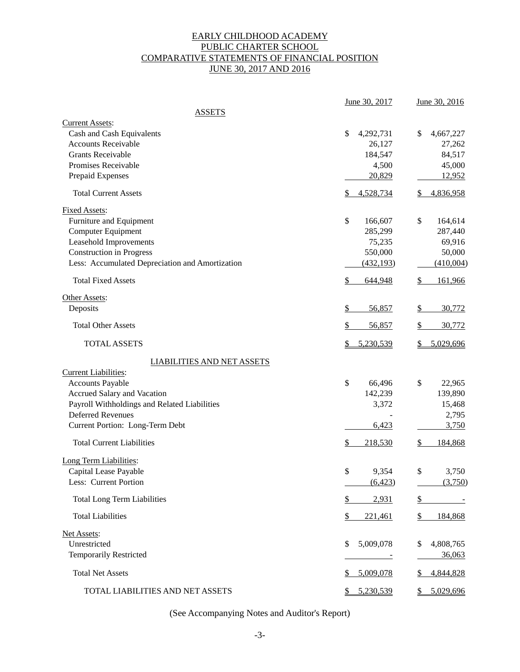# EARLY CHILDHOOD ACADEMY PUBLIC CHARTER SCHOOL COMPARATIVE STATEMENTS OF FINANCIAL POSITION JUNE 30, 2017 AND 2016

|                                                 | June 30, 2017   | June 30, 2016   |
|-------------------------------------------------|-----------------|-----------------|
| <b>ASSETS</b>                                   |                 |                 |
| <b>Current Assets:</b>                          |                 |                 |
| Cash and Cash Equivalents                       | \$<br>4,292,731 | \$<br>4,667,227 |
| <b>Accounts Receivable</b>                      | 26,127          | 27,262          |
| <b>Grants Receivable</b>                        | 184,547         | 84,517          |
| Promises Receivable                             | 4,500           | 45,000          |
| Prepaid Expenses                                | 20,829          | 12,952          |
| <b>Total Current Assets</b>                     | \$<br>4,528,734 | 4,836,958       |
| <b>Fixed Assets:</b>                            |                 |                 |
| Furniture and Equipment                         | \$<br>166,607   | \$<br>164,614   |
| Computer Equipment                              | 285,299         | 287,440         |
| Leasehold Improvements                          | 75,235          | 69,916          |
| <b>Construction in Progress</b>                 | 550,000         | 50,000          |
| Less: Accumulated Depreciation and Amortization | (432, 193)      | (410,004)       |
| <b>Total Fixed Assets</b>                       | \$<br>644,948   | \$<br>161,966   |
| Other Assets:                                   |                 |                 |
| Deposits                                        | \$<br>56,857    | \$<br>30,772    |
| <b>Total Other Assets</b>                       | \$<br>56,857    | \$<br>30,772    |
| <b>TOTAL ASSETS</b>                             | \$<br>5,230,539 | 5,029,696<br>\$ |
| <b>LIABILITIES AND NET ASSETS</b>               |                 |                 |
| Current Liabilities:                            |                 |                 |
| <b>Accounts Payable</b>                         | \$<br>66,496    | \$<br>22,965    |
| Accrued Salary and Vacation                     | 142,239         | 139,890         |
| Payroll Withholdings and Related Liabilities    | 3,372           | 15,468          |
| <b>Deferred Revenues</b>                        |                 | 2,795           |
| Current Portion: Long-Term Debt                 | 6,423           | 3,750           |
| <b>Total Current Liabilities</b>                | \$<br>218,530   | \$<br>184,868   |
| Long Term Liabilities:                          |                 |                 |
| Capital Lease Payable                           | \$<br>9,354     | \$<br>3,750     |
| Less: Current Portion                           | (6, 423)        | (3,750)         |
| <b>Total Long Term Liabilities</b>              | \$<br>2,931     | \$              |
| <b>Total Liabilities</b>                        | \$<br>221,461   | \$<br>184,868   |
| Net Assets:                                     |                 |                 |
| Unrestricted                                    | \$<br>5,009,078 | \$<br>4,808,765 |
| <b>Temporarily Restricted</b>                   |                 | 36,063          |
| <b>Total Net Assets</b>                         | 5,009,078<br>\$ | 4,844,828<br>S. |
| TOTAL LIABILITIES AND NET ASSETS                | 5,230,539<br>\$ | 5,029,696       |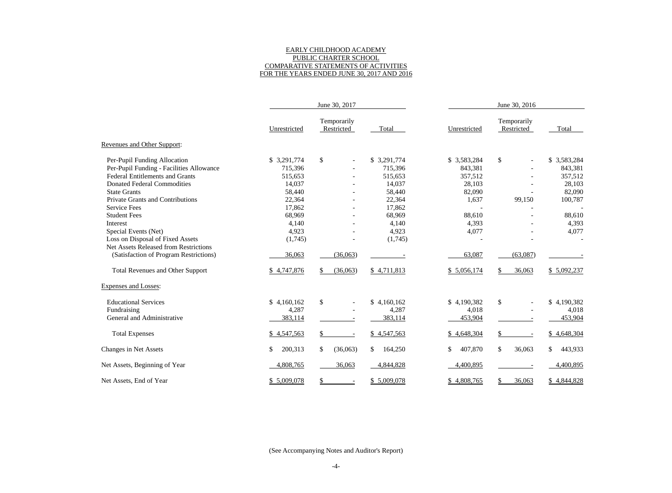## EARLY CHILDHOOD ACADEMY PUBLIC CHARTER SCHOOL COMPARATIVE STATEMENTS OF ACTIVITIES FOR THE YEARS ENDED JUNE 30, 2017 AND 2016

|                                          | June 30, 2017 |                           |               | June 30, 2016 |                                |               |  |
|------------------------------------------|---------------|---------------------------|---------------|---------------|--------------------------------|---------------|--|
|                                          | Unrestricted  | Temporarily<br>Restricted | Total         | Unrestricted  | Temporarily<br>Restricted      | Total         |  |
| <b>Revenues and Other Support:</b>       |               |                           |               |               |                                |               |  |
| Per-Pupil Funding Allocation             | \$ 3,291,774  | \$                        | \$3,291,774   | \$3,583,284   | $\mathcal{S}$                  | \$3,583,284   |  |
| Per-Pupil Funding - Facilities Allowance | 715,396       |                           | 715,396       | 843,381       |                                | 843,381       |  |
| <b>Federal Entitlements and Grants</b>   | 515,653       |                           | 515,653       | 357,512       |                                | 357,512       |  |
| <b>Donated Federal Commodities</b>       | 14,037        |                           | 14,037        | 28,103        |                                | 28,103        |  |
| <b>State Grants</b>                      | 58,440        |                           | 58,440        | 82,090        |                                | 82,090        |  |
| Private Grants and Contributions         | 22,364        |                           | 22,364        | 1,637         | 99,150                         | 100,787       |  |
| <b>Service Fees</b>                      | 17,862        |                           | 17,862        |               |                                |               |  |
| <b>Student Fees</b>                      | 68,969        |                           | 68,969        | 88,610        |                                | 88,610        |  |
| Interest                                 | 4,140         |                           | 4,140         | 4,393         |                                | 4,393         |  |
| Special Events (Net)                     | 4,923         |                           | 4,923         | 4,077         |                                | 4,077         |  |
| Loss on Disposal of Fixed Assets         | (1,745)       |                           | (1,745)       |               |                                |               |  |
| Net Assets Released from Restrictions    |               |                           |               |               |                                |               |  |
| (Satisfaction of Program Restrictions)   | 36,063        | (36,063)                  |               | 63,087        | (63,087)                       |               |  |
| <b>Total Revenues and Other Support</b>  | \$4,747,876   | (36,063)                  | \$4,711,813   | \$5,056,174   | 36,063                         | \$5,092,237   |  |
| <b>Expenses and Losses:</b>              |               |                           |               |               |                                |               |  |
| <b>Educational Services</b>              | \$4,160,162   | \$<br>$\overline{a}$      | \$4,160,162   | \$4,190,382   | \$<br>$\blacksquare$           | \$4,190,382   |  |
| Fundraising                              | 4,287         |                           | 4,287         | 4,018         |                                | 4,018         |  |
| General and Administrative               | 383,114       |                           | 383,114       | 453,904       |                                | 453,904       |  |
| <b>Total Expenses</b>                    | \$4,547,563   | \$                        | \$4,547,563   | \$4,648,304   | \$<br>$\overline{\phantom{a}}$ | \$4,648,304   |  |
| Changes in Net Assets                    | 200,313<br>\$ | \$<br>(36,063)            | 164,250<br>\$ | \$<br>407,870 | \$<br>36,063                   | \$<br>443,933 |  |
| Net Assets, Beginning of Year            | 4,808,765     | 36,063                    | 4,844,828     | 4,400,895     |                                | 4,400,895     |  |
| Net Assets, End of Year                  | \$5,009,078   | \$                        | \$5,009,078   | \$4,808,765   | 36,063                         | \$4,844,828   |  |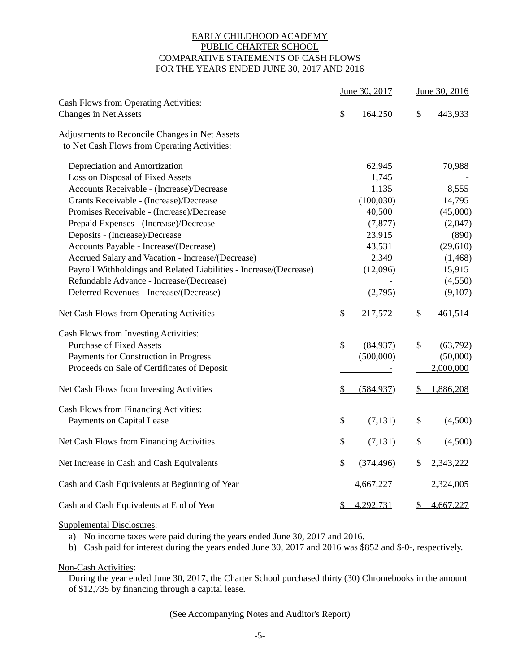## EARLY CHILDHOOD ACADEMY PUBLIC CHARTER SCHOOL COMPARATIVE STATEMENTS OF CASH FLOWS FOR THE YEARS ENDED JUNE 30, 2017 AND 2016

|                                                                              |               | June 30, 2017 |              | June 30, 2016 |  |
|------------------------------------------------------------------------------|---------------|---------------|--------------|---------------|--|
| <b>Cash Flows from Operating Activities:</b><br><b>Changes in Net Assets</b> | \$            | 164,250       | $\mathbb{S}$ | 443,933       |  |
| Adjustments to Reconcile Changes in Net Assets                               |               |               |              |               |  |
| to Net Cash Flows from Operating Activities:                                 |               |               |              |               |  |
| Depreciation and Amortization                                                |               | 62,945        |              | 70,988        |  |
| Loss on Disposal of Fixed Assets                                             |               | 1,745         |              |               |  |
| Accounts Receivable - (Increase)/Decrease                                    |               | 1,135         |              | 8,555         |  |
| Grants Receivable - (Increase)/Decrease                                      |               | (100, 030)    |              | 14,795        |  |
| Promises Receivable - (Increase)/Decrease                                    |               | 40,500        |              | (45,000)      |  |
| Prepaid Expenses - (Increase)/Decrease                                       |               | (7, 877)      |              | (2,047)       |  |
| Deposits - (Increase)/Decrease                                               |               | 23,915        |              | (890)         |  |
| Accounts Payable - Increase/(Decrease)                                       |               | 43,531        |              | (29,610)      |  |
| Accrued Salary and Vacation - Increase/(Decrease)                            |               | 2,349         |              | (1, 468)      |  |
| Payroll Withholdings and Related Liabilities - Increase/(Decrease)           |               | (12,096)      |              | 15,915        |  |
| Refundable Advance - Increase/(Decrease)                                     |               |               |              | (4,550)       |  |
| Deferred Revenues - Increase/(Decrease)                                      |               | (2,795)       |              | (9,107)       |  |
| Net Cash Flows from Operating Activities                                     | \$            | 217,572       | \$           | 461,514       |  |
| <b>Cash Flows from Investing Activities:</b>                                 |               |               |              |               |  |
| <b>Purchase of Fixed Assets</b>                                              | \$            | (84,937)      | \$           | (63,792)      |  |
| Payments for Construction in Progress                                        |               | (500,000)     |              | (50,000)      |  |
| Proceeds on Sale of Certificates of Deposit                                  |               |               |              | 2,000,000     |  |
| Net Cash Flows from Investing Activities                                     | \$            | (584, 937)    |              | 1,886,208     |  |
| <b>Cash Flows from Financing Activities:</b>                                 |               |               |              |               |  |
| Payments on Capital Lease                                                    | $\frac{1}{2}$ | (7,131)       | \$           | (4,500)       |  |
| Net Cash Flows from Financing Activities                                     | \$            | (7,131)       | \$           | (4,500)       |  |
| Net Increase in Cash and Cash Equivalents                                    | \$            | (374, 496)    | \$           | 2,343,222     |  |
| Cash and Cash Equivalents at Beginning of Year                               |               | 4,667,227     |              | 2,324,005     |  |
| Cash and Cash Equivalents at End of Year                                     |               | 4,292,731     | \$           | 4,667,227     |  |

#### Supplemental Disclosures:

- a) No income taxes were paid during the years ended June 30, 2017 and 2016.
- b) Cash paid for interest during the years ended June 30, 2017 and 2016 was \$852 and \$-0-, respectively.

# Non-Cash Activities:

During the year ended June 30, 2017, the Charter School purchased thirty (30) Chromebooks in the amount of \$12,735 by financing through a capital lease.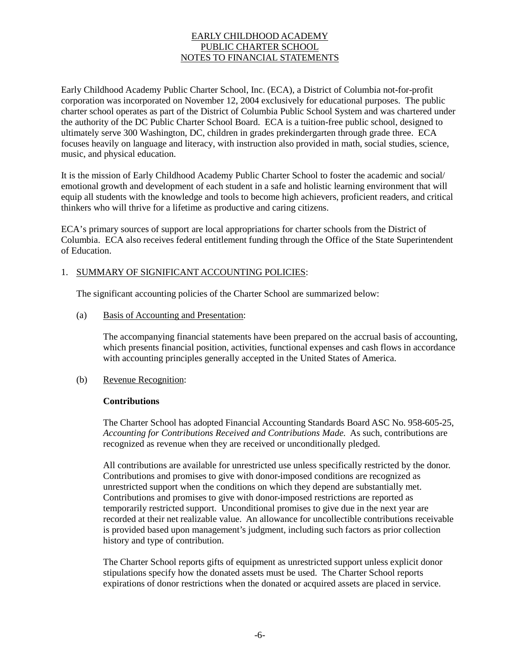Early Childhood Academy Public Charter School, Inc. (ECA), a District of Columbia not-for-profit corporation was incorporated on November 12, 2004 exclusively for educational purposes. The public charter school operates as part of the District of Columbia Public School System and was chartered under the authority of the DC Public Charter School Board. ECA is a tuition-free public school, designed to ultimately serve 300 Washington, DC, children in grades prekindergarten through grade three. ECA focuses heavily on language and literacy, with instruction also provided in math, social studies, science, music, and physical education.

It is the mission of Early Childhood Academy Public Charter School to foster the academic and social/ emotional growth and development of each student in a safe and holistic learning environment that will equip all students with the knowledge and tools to become high achievers, proficient readers, and critical thinkers who will thrive for a lifetime as productive and caring citizens.

ECA's primary sources of support are local appropriations for charter schools from the District of Columbia. ECA also receives federal entitlement funding through the Office of the State Superintendent of Education.

# 1. SUMMARY OF SIGNIFICANT ACCOUNTING POLICIES:

The significant accounting policies of the Charter School are summarized below:

(a) Basis of Accounting and Presentation:

The accompanying financial statements have been prepared on the accrual basis of accounting, which presents financial position, activities, functional expenses and cash flows in accordance with accounting principles generally accepted in the United States of America.

## (b) Revenue Recognition:

## **Contributions**

The Charter School has adopted Financial Accounting Standards Board ASC No. 958-605-25, *Accounting for Contributions Received and Contributions Made.* As such, contributions are recognized as revenue when they are received or unconditionally pledged.

All contributions are available for unrestricted use unless specifically restricted by the donor. Contributions and promises to give with donor-imposed conditions are recognized as unrestricted support when the conditions on which they depend are substantially met. Contributions and promises to give with donor-imposed restrictions are reported as temporarily restricted support. Unconditional promises to give due in the next year are recorded at their net realizable value. An allowance for uncollectible contributions receivable is provided based upon management's judgment, including such factors as prior collection history and type of contribution.

The Charter School reports gifts of equipment as unrestricted support unless explicit donor stipulations specify how the donated assets must be used. The Charter School reports expirations of donor restrictions when the donated or acquired assets are placed in service.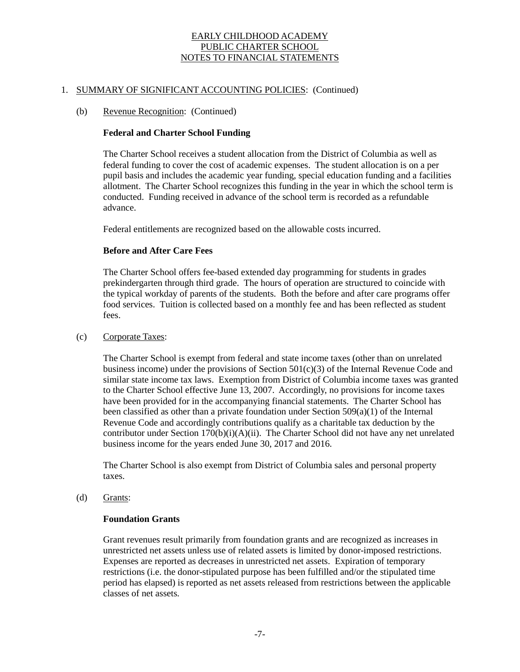## 1. SUMMARY OF SIGNIFICANT ACCOUNTING POLICIES: (Continued)

## (b) Revenue Recognition: (Continued)

## **Federal and Charter School Funding**

The Charter School receives a student allocation from the District of Columbia as well as federal funding to cover the cost of academic expenses. The student allocation is on a per pupil basis and includes the academic year funding, special education funding and a facilities allotment. The Charter School recognizes this funding in the year in which the school term is conducted. Funding received in advance of the school term is recorded as a refundable advance.

Federal entitlements are recognized based on the allowable costs incurred.

### **Before and After Care Fees**

The Charter School offers fee-based extended day programming for students in grades prekindergarten through third grade. The hours of operation are structured to coincide with the typical workday of parents of the students. Both the before and after care programs offer food services. Tuition is collected based on a monthly fee and has been reflected as student fees.

#### (c) Corporate Taxes:

The Charter School is exempt from federal and state income taxes (other than on unrelated business income) under the provisions of Section 501(c)(3) of the Internal Revenue Code and similar state income tax laws. Exemption from District of Columbia income taxes was granted to the Charter School effective June 13, 2007. Accordingly, no provisions for income taxes have been provided for in the accompanying financial statements. The Charter School has been classified as other than a private foundation under Section  $509(a)(1)$  of the Internal Revenue Code and accordingly contributions qualify as a charitable tax deduction by the contributor under Section  $170(b)(i)(A)(ii)$ . The Charter School did not have any net unrelated business income for the years ended June 30, 2017 and 2016.

The Charter School is also exempt from District of Columbia sales and personal property taxes.

#### (d) Grants:

#### **Foundation Grants**

Grant revenues result primarily from foundation grants and are recognized as increases in unrestricted net assets unless use of related assets is limited by donor-imposed restrictions. Expenses are reported as decreases in unrestricted net assets. Expiration of temporary restrictions (i.e. the donor-stipulated purpose has been fulfilled and/or the stipulated time period has elapsed) is reported as net assets released from restrictions between the applicable classes of net assets.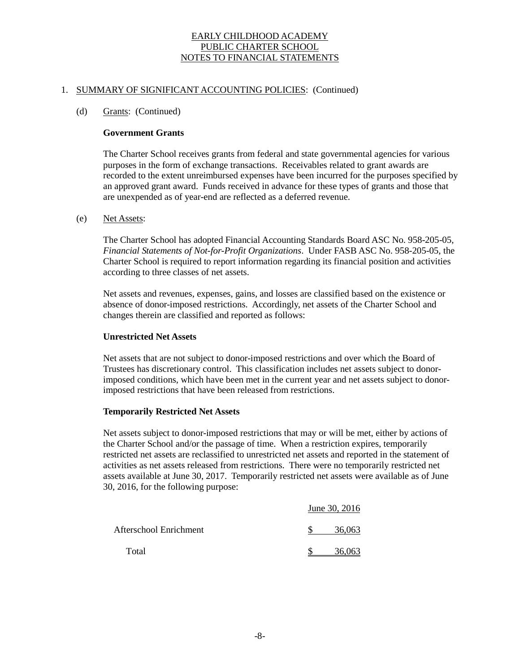## 1. SUMMARY OF SIGNIFICANT ACCOUNTING POLICIES: (Continued)

#### (d) Grants: (Continued)

### **Government Grants**

The Charter School receives grants from federal and state governmental agencies for various purposes in the form of exchange transactions. Receivables related to grant awards are recorded to the extent unreimbursed expenses have been incurred for the purposes specified by an approved grant award. Funds received in advance for these types of grants and those that are unexpended as of year-end are reflected as a deferred revenue.

### (e) Net Assets:

The Charter School has adopted Financial Accounting Standards Board ASC No. 958-205-05, *Financial Statements of Not-for-Profit Organizations*. Under FASB ASC No. 958-205-05, the Charter School is required to report information regarding its financial position and activities according to three classes of net assets.

Net assets and revenues, expenses, gains, and losses are classified based on the existence or absence of donor-imposed restrictions. Accordingly, net assets of the Charter School and changes therein are classified and reported as follows:

#### **Unrestricted Net Assets**

Net assets that are not subject to donor-imposed restrictions and over which the Board of Trustees has discretionary control. This classification includes net assets subject to donorimposed conditions, which have been met in the current year and net assets subject to donorimposed restrictions that have been released from restrictions.

#### **Temporarily Restricted Net Assets**

Net assets subject to donor-imposed restrictions that may or will be met, either by actions of the Charter School and/or the passage of time. When a restriction expires, temporarily restricted net assets are reclassified to unrestricted net assets and reported in the statement of activities as net assets released from restrictions. There were no temporarily restricted net assets available at June 30, 2017. Temporarily restricted net assets were available as of June 30, 2016, for the following purpose:

|                        | June 30, 2016 |
|------------------------|---------------|
| Afterschool Enrichment | 36,063        |
| Total                  | 36,063        |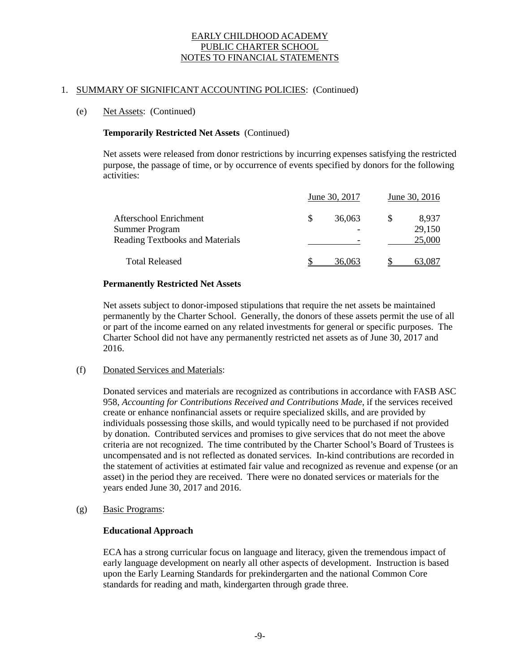## 1. SUMMARY OF SIGNIFICANT ACCOUNTING POLICIES: (Continued)

### (e) Net Assets: (Continued)

### **Temporarily Restricted Net Assets** (Continued)

Net assets were released from donor restrictions by incurring expenses satisfying the restricted purpose, the passage of time, or by occurrence of events specified by donors for the following activities:

|                                                          |     | June 30, 2017 | June 30, 2016 |                  |  |
|----------------------------------------------------------|-----|---------------|---------------|------------------|--|
| Afterschool Enrichment                                   | \$. | 36,063        |               | 8.937            |  |
| Summer Program<br><b>Reading Textbooks and Materials</b> |     |               |               | 29,150<br>25,000 |  |
| <b>Total Released</b>                                    |     | 36.063        |               | 63 OS            |  |

#### **Permanently Restricted Net Assets**

Net assets subject to donor-imposed stipulations that require the net assets be maintained permanently by the Charter School. Generally, the donors of these assets permit the use of all or part of the income earned on any related investments for general or specific purposes. The Charter School did not have any permanently restricted net assets as of June 30, 2017 and 2016.

(f) Donated Services and Materials:

Donated services and materials are recognized as contributions in accordance with FASB ASC 958, *Accounting for Contributions Received and Contributions Made*, if the services received create or enhance nonfinancial assets or require specialized skills, and are provided by individuals possessing those skills, and would typically need to be purchased if not provided by donation. Contributed services and promises to give services that do not meet the above criteria are not recognized. The time contributed by the Charter School's Board of Trustees is uncompensated and is not reflected as donated services. In-kind contributions are recorded in the statement of activities at estimated fair value and recognized as revenue and expense (or an asset) in the period they are received. There were no donated services or materials for the years ended June 30, 2017 and 2016.

(g) Basic Programs:

#### **Educational Approach**

ECA has a strong curricular focus on language and literacy, given the tremendous impact of early language development on nearly all other aspects of development. Instruction is based upon the Early Learning Standards for prekindergarten and the national Common Core standards for reading and math, kindergarten through grade three.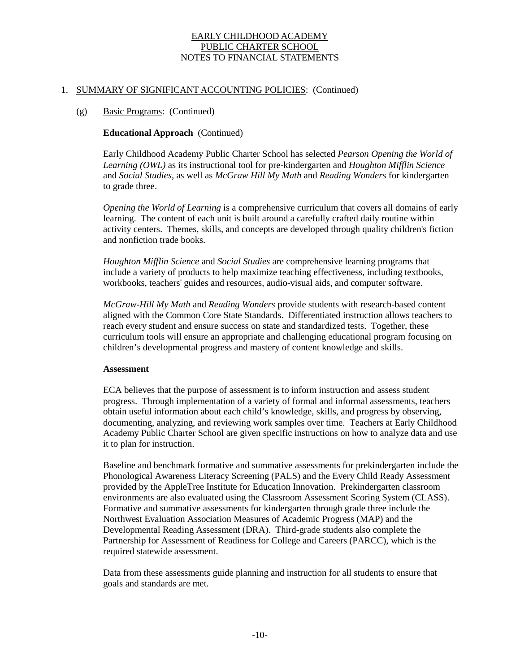## 1. SUMMARY OF SIGNIFICANT ACCOUNTING POLICIES: (Continued)

## (g) Basic Programs: (Continued)

## **Educational Approach** (Continued)

Early Childhood Academy Public Charter School has selected *Pearson Opening the World of Learning (OWL)* as its instructional tool for pre-kindergarten and *Houghton Mifflin Science* and *Social Studies*, as well as *McGraw Hill My Math* and *Reading Wonders* for kindergarten to grade three.

*Opening the World of Learning* is a comprehensive curriculum that covers all domains of early learning. The content of each unit is built around a carefully crafted daily routine within activity centers. Themes, skills, and concepts are developed through quality children's fiction and nonfiction trade books.

*Houghton Mifflin Science* and *Social Studies* are comprehensive learning programs that include a variety of products to help maximize teaching effectiveness, including textbooks, workbooks, teachers' guides and resources, audio-visual aids, and computer software.

*McGraw-Hill My Math* and *Reading Wonders* provide students with research-based content aligned with the Common Core State Standards. Differentiated instruction allows teachers to reach every student and ensure success on state and standardized tests. Together, these curriculum tools will ensure an appropriate and challenging educational program focusing on children's developmental progress and mastery of content knowledge and skills.

## **Assessment**

ECA believes that the purpose of assessment is to inform instruction and assess student progress. Through implementation of a variety of formal and informal assessments, teachers obtain useful information about each child's knowledge, skills, and progress by observing, documenting, analyzing, and reviewing work samples over time. Teachers at Early Childhood Academy Public Charter School are given specific instructions on how to analyze data and use it to plan for instruction.

Baseline and benchmark formative and summative assessments for prekindergarten include the Phonological Awareness Literacy Screening (PALS) and the Every Child Ready Assessment provided by the AppleTree Institute for Education Innovation. Prekindergarten classroom environments are also evaluated using the Classroom Assessment Scoring System (CLASS). Formative and summative assessments for kindergarten through grade three include the Northwest Evaluation Association Measures of Academic Progress (MAP) and the Developmental Reading Assessment (DRA). Third-grade students also complete the Partnership for Assessment of Readiness for College and Careers (PARCC), which is the required statewide assessment.

Data from these assessments guide planning and instruction for all students to ensure that goals and standards are met.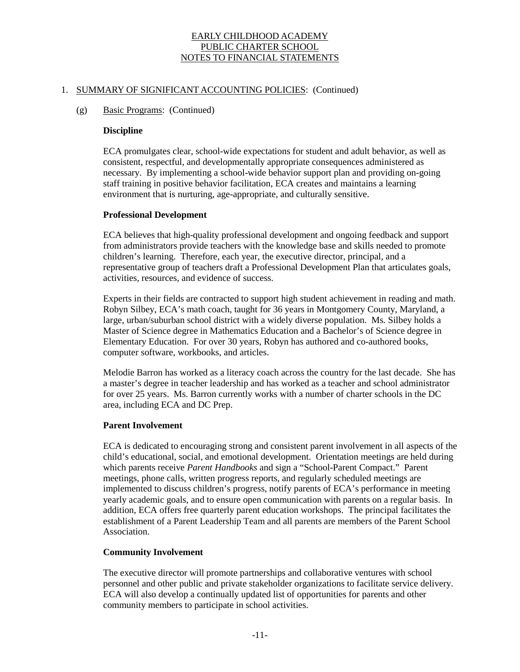## 1. SUMMARY OF SIGNIFICANT ACCOUNTING POLICIES: (Continued)

## (g) Basic Programs: (Continued)

## **Discipline**

ECA promulgates clear, school-wide expectations for student and adult behavior, as well as consistent, respectful, and developmentally appropriate consequences administered as necessary. By implementing a school-wide behavior support plan and providing on-going staff training in positive behavior facilitation, ECA creates and maintains a learning environment that is nurturing, age-appropriate, and culturally sensitive.

# **Professional Development**

ECA believes that high-quality professional development and ongoing feedback and support from administrators provide teachers with the knowledge base and skills needed to promote children's learning. Therefore, each year, the executive director, principal, and a representative group of teachers draft a Professional Development Plan that articulates goals, activities, resources, and evidence of success.

Experts in their fields are contracted to support high student achievement in reading and math. Robyn Silbey, ECA's math coach, taught for 36 years in Montgomery County, Maryland, a large, urban/suburban school district with a widely diverse population. Ms. Silbey holds a Master of Science degree in Mathematics Education and a Bachelor's of Science degree in Elementary Education. For over 30 years, Robyn has authored and co-authored books, computer software, workbooks, and articles.

Melodie Barron has worked as a literacy coach across the country for the last decade. She has a master's degree in teacher leadership and has worked as a teacher and school administrator for over 25 years. Ms. Barron currently works with a number of charter schools in the DC area, including ECA and DC Prep.

## **Parent Involvement**

ECA is dedicated to encouraging strong and consistent parent involvement in all aspects of the child's educational, social, and emotional development. Orientation meetings are held during which parents receive *Parent Handbooks* and sign a "School-Parent Compact." Parent meetings, phone calls, written progress reports, and regularly scheduled meetings are implemented to discuss children's progress, notify parents of ECA's performance in meeting yearly academic goals, and to ensure open communication with parents on a regular basis. In addition, ECA offers free quarterly parent education workshops. The principal facilitates the establishment of a Parent Leadership Team and all parents are members of the Parent School Association.

## **Community Involvement**

The executive director will promote partnerships and collaborative ventures with school personnel and other public and private stakeholder organizations to facilitate service delivery. ECA will also develop a continually updated list of opportunities for parents and other community members to participate in school activities.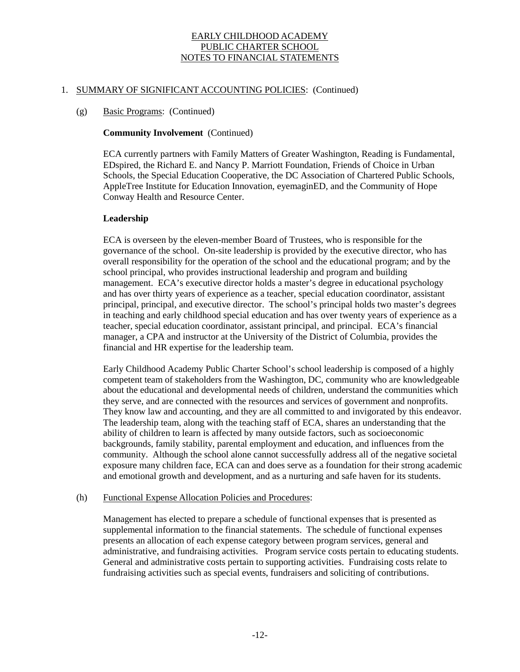## 1. SUMMARY OF SIGNIFICANT ACCOUNTING POLICIES: (Continued)

## (g) Basic Programs: (Continued)

## **Community Involvement** (Continued)

ECA currently partners with Family Matters of Greater Washington, Reading is Fundamental, EDspired, the Richard E. and Nancy P. Marriott Foundation, Friends of Choice in Urban Schools, the Special Education Cooperative, the DC Association of Chartered Public Schools, AppleTree Institute for Education Innovation, eyemaginED, and the Community of Hope Conway Health and Resource Center.

## **Leadership**

ECA is overseen by the eleven-member Board of Trustees, who is responsible for the governance of the school. On-site leadership is provided by the executive director, who has overall responsibility for the operation of the school and the educational program; and by the school principal, who provides instructional leadership and program and building management. ECA's executive director holds a master's degree in educational psychology and has over thirty years of experience as a teacher, special education coordinator, assistant principal, principal, and executive director. The school's principal holds two master's degrees in teaching and early childhood special education and has over twenty years of experience as a teacher, special education coordinator, assistant principal, and principal. ECA's financial manager, a CPA and instructor at the University of the District of Columbia, provides the financial and HR expertise for the leadership team.

Early Childhood Academy Public Charter School's school leadership is composed of a highly competent team of stakeholders from the Washington, DC, community who are knowledgeable about the educational and developmental needs of children, understand the communities which they serve, and are connected with the resources and services of government and nonprofits. They know law and accounting, and they are all committed to and invigorated by this endeavor. The leadership team, along with the teaching staff of ECA, shares an understanding that the ability of children to learn is affected by many outside factors, such as socioeconomic backgrounds, family stability, parental employment and education, and influences from the community. Although the school alone cannot successfully address all of the negative societal exposure many children face, ECA can and does serve as a foundation for their strong academic and emotional growth and development, and as a nurturing and safe haven for its students.

## (h) Functional Expense Allocation Policies and Procedures:

Management has elected to prepare a schedule of functional expenses that is presented as supplemental information to the financial statements. The schedule of functional expenses presents an allocation of each expense category between program services, general and administrative, and fundraising activities. Program service costs pertain to educating students. General and administrative costs pertain to supporting activities. Fundraising costs relate to fundraising activities such as special events, fundraisers and soliciting of contributions.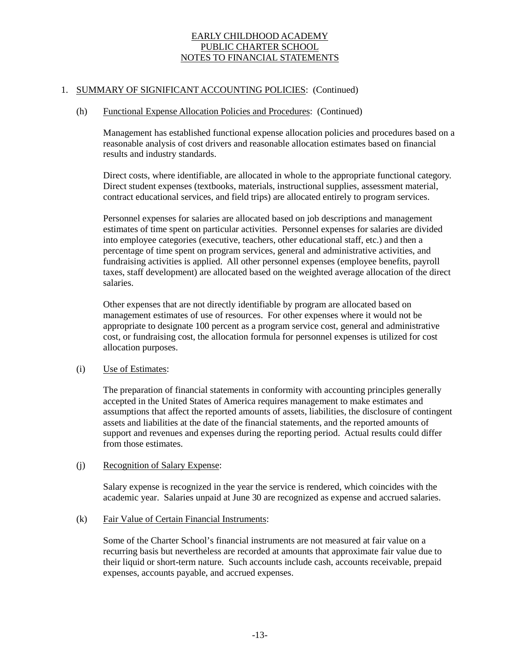## 1. SUMMARY OF SIGNIFICANT ACCOUNTING POLICIES: (Continued)

## (h) Functional Expense Allocation Policies and Procedures: (Continued)

Management has established functional expense allocation policies and procedures based on a reasonable analysis of cost drivers and reasonable allocation estimates based on financial results and industry standards.

Direct costs, where identifiable, are allocated in whole to the appropriate functional category. Direct student expenses (textbooks, materials, instructional supplies, assessment material, contract educational services, and field trips) are allocated entirely to program services.

Personnel expenses for salaries are allocated based on job descriptions and management estimates of time spent on particular activities. Personnel expenses for salaries are divided into employee categories (executive, teachers, other educational staff, etc.) and then a percentage of time spent on program services, general and administrative activities, and fundraising activities is applied. All other personnel expenses (employee benefits, payroll taxes, staff development) are allocated based on the weighted average allocation of the direct salaries.

Other expenses that are not directly identifiable by program are allocated based on management estimates of use of resources. For other expenses where it would not be appropriate to designate 100 percent as a program service cost, general and administrative cost, or fundraising cost, the allocation formula for personnel expenses is utilized for cost allocation purposes.

# (i) Use of Estimates:

The preparation of financial statements in conformity with accounting principles generally accepted in the United States of America requires management to make estimates and assumptions that affect the reported amounts of assets, liabilities, the disclosure of contingent assets and liabilities at the date of the financial statements, and the reported amounts of support and revenues and expenses during the reporting period. Actual results could differ from those estimates.

## (j) Recognition of Salary Expense:

Salary expense is recognized in the year the service is rendered, which coincides with the academic year. Salaries unpaid at June 30 are recognized as expense and accrued salaries.

## (k) Fair Value of Certain Financial Instruments:

Some of the Charter School's financial instruments are not measured at fair value on a recurring basis but nevertheless are recorded at amounts that approximate fair value due to their liquid or short-term nature. Such accounts include cash, accounts receivable, prepaid expenses, accounts payable, and accrued expenses.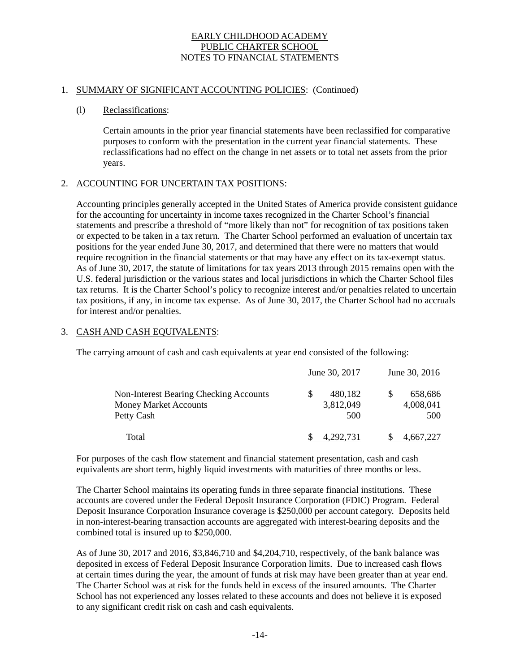## 1. SUMMARY OF SIGNIFICANT ACCOUNTING POLICIES: (Continued)

# (l) Reclassifications:

Certain amounts in the prior year financial statements have been reclassified for comparative purposes to conform with the presentation in the current year financial statements. These reclassifications had no effect on the change in net assets or to total net assets from the prior years.

# 2. ACCOUNTING FOR UNCERTAIN TAX POSITIONS:

Accounting principles generally accepted in the United States of America provide consistent guidance for the accounting for uncertainty in income taxes recognized in the Charter School's financial statements and prescribe a threshold of "more likely than not" for recognition of tax positions taken or expected to be taken in a tax return. The Charter School performed an evaluation of uncertain tax positions for the year ended June 30, 2017, and determined that there were no matters that would require recognition in the financial statements or that may have any effect on its tax-exempt status. As of June 30, 2017, the statute of limitations for tax years 2013 through 2015 remains open with the U.S. federal jurisdiction or the various states and local jurisdictions in which the Charter School files tax returns. It is the Charter School's policy to recognize interest and/or penalties related to uncertain tax positions, if any, in income tax expense. As of June 30, 2017, the Charter School had no accruals for interest and/or penalties.

# 3. CASH AND CASH EQUIVALENTS:

The carrying amount of cash and cash equivalents at year end consisted of the following:

|                                        |   | June 30, 2017 | June 30, 2016 |
|----------------------------------------|---|---------------|---------------|
| Non-Interest Bearing Checking Accounts | S | 480,182       | 658,686       |
| <b>Money Market Accounts</b>           |   | 3,812,049     | 4,008,041     |
| Petty Cash                             |   | 500           | 500           |
| Total                                  |   | 4.292.731     | 4.667.227     |

For purposes of the cash flow statement and financial statement presentation, cash and cash equivalents are short term, highly liquid investments with maturities of three months or less.

The Charter School maintains its operating funds in three separate financial institutions. These accounts are covered under the Federal Deposit Insurance Corporation (FDIC) Program. Federal Deposit Insurance Corporation Insurance coverage is \$250,000 per account category. Deposits held in non-interest-bearing transaction accounts are aggregated with interest-bearing deposits and the combined total is insured up to \$250,000.

As of June 30, 2017 and 2016, \$3,846,710 and \$4,204,710, respectively, of the bank balance was deposited in excess of Federal Deposit Insurance Corporation limits. Due to increased cash flows at certain times during the year, the amount of funds at risk may have been greater than at year end. The Charter School was at risk for the funds held in excess of the insured amounts. The Charter School has not experienced any losses related to these accounts and does not believe it is exposed to any significant credit risk on cash and cash equivalents.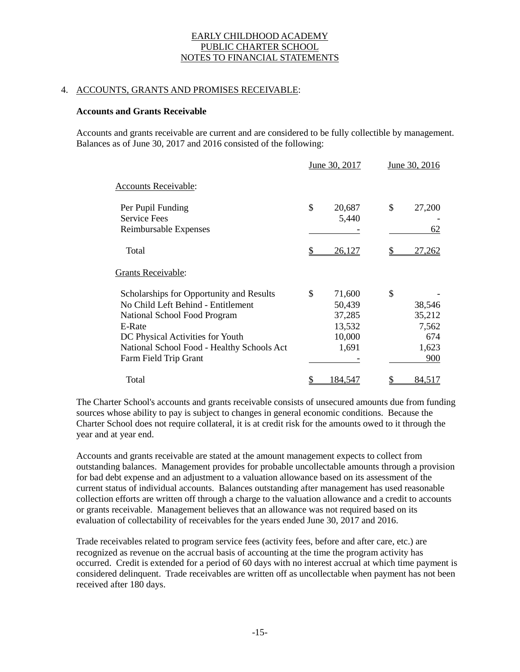## 4. ACCOUNTS, GRANTS AND PROMISES RECEIVABLE:

#### **Accounts and Grants Receivable**

Accounts and grants receivable are current and are considered to be fully collectible by management. Balances as of June 30, 2017 and 2016 consisted of the following:

|                                                                                                                                                                                                                                     | June 30, 2017                                                 | June 30, 2016                                          |
|-------------------------------------------------------------------------------------------------------------------------------------------------------------------------------------------------------------------------------------|---------------------------------------------------------------|--------------------------------------------------------|
| <b>Accounts Receivable:</b>                                                                                                                                                                                                         |                                                               |                                                        |
| Per Pupil Funding<br><b>Service Fees</b>                                                                                                                                                                                            | \$<br>20,687<br>5,440                                         | \$<br>27,200                                           |
| Reimbursable Expenses                                                                                                                                                                                                               |                                                               | 62                                                     |
| Total                                                                                                                                                                                                                               | 26,127                                                        | 27.262                                                 |
| Grants Receivable:                                                                                                                                                                                                                  |                                                               |                                                        |
| Scholarships for Opportunity and Results<br>No Child Left Behind - Entitlement<br>National School Food Program<br>E-Rate<br>DC Physical Activities for Youth<br>National School Food - Healthy Schools Act<br>Farm Field Trip Grant | \$<br>71,600<br>50,439<br>37,285<br>13,532<br>10,000<br>1,691 | \$<br>38,546<br>35,212<br>7,562<br>674<br>1,623<br>900 |
| Total                                                                                                                                                                                                                               | <u>184,547</u>                                                | 84,517                                                 |

The Charter School's accounts and grants receivable consists of unsecured amounts due from funding sources whose ability to pay is subject to changes in general economic conditions. Because the Charter School does not require collateral, it is at credit risk for the amounts owed to it through the year and at year end.

Accounts and grants receivable are stated at the amount management expects to collect from outstanding balances. Management provides for probable uncollectable amounts through a provision for bad debt expense and an adjustment to a valuation allowance based on its assessment of the current status of individual accounts. Balances outstanding after management has used reasonable collection efforts are written off through a charge to the valuation allowance and a credit to accounts or grants receivable. Management believes that an allowance was not required based on its evaluation of collectability of receivables for the years ended June 30, 2017 and 2016.

Trade receivables related to program service fees (activity fees, before and after care, etc.) are recognized as revenue on the accrual basis of accounting at the time the program activity has occurred. Credit is extended for a period of 60 days with no interest accrual at which time payment is considered delinquent. Trade receivables are written off as uncollectable when payment has not been received after 180 days.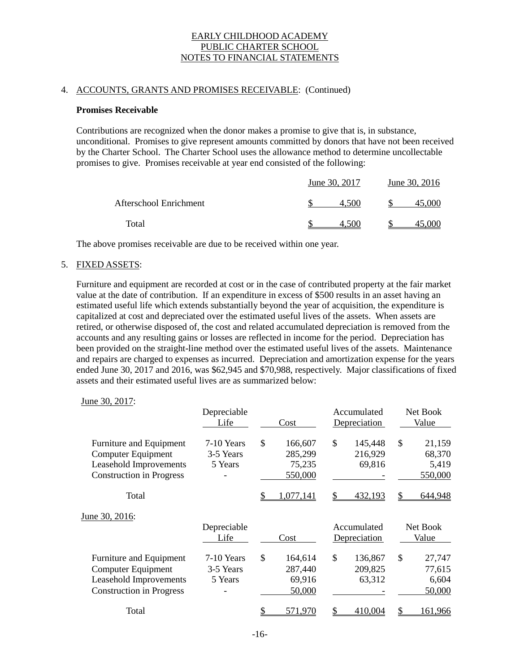## 4. ACCOUNTS, GRANTS AND PROMISES RECEIVABLE: (Continued)

#### **Promises Receivable**

Contributions are recognized when the donor makes a promise to give that is, in substance, unconditional. Promises to give represent amounts committed by donors that have not been received by the Charter School. The Charter School uses the allowance method to determine uncollectable promises to give. Promises receivable at year end consisted of the following:

|                        | June 30, 2017 | June 30, 2016 |  |  |
|------------------------|---------------|---------------|--|--|
| Afterschool Enrichment | 4.500         |               |  |  |
| Total                  | 500           |               |  |  |

The above promises receivable are due to be received within one year.

### 5. FIXED ASSETS:

Furniture and equipment are recorded at cost or in the case of contributed property at the fair market value at the date of contribution. If an expenditure in excess of \$500 results in an asset having an estimated useful life which extends substantially beyond the year of acquisition, the expenditure is capitalized at cost and depreciated over the estimated useful lives of the assets. When assets are retired, or otherwise disposed of, the cost and related accumulated depreciation is removed from the accounts and any resulting gains or losses are reflected in income for the period. Depreciation has been provided on the straight-line method over the estimated useful lives of the assets. Maintenance and repairs are charged to expenses as incurred. Depreciation and amortization expense for the years ended June 30, 2017 and 2016, was \$62,945 and \$70,988, respectively. Major classifications of fixed assets and their estimated useful lives are as summarized below:

#### June 30, 2017:

|                                                                                                                          | Depreciable<br>Life                | Cost                                          | Accumulated<br>Depreciation        | Net Book<br>Value                          |
|--------------------------------------------------------------------------------------------------------------------------|------------------------------------|-----------------------------------------------|------------------------------------|--------------------------------------------|
| Furniture and Equipment<br><b>Computer Equipment</b><br><b>Leasehold Improvements</b><br><b>Construction in Progress</b> | 7-10 Years<br>3-5 Years<br>5 Years | \$<br>166,607<br>285,299<br>75,235<br>550,000 | \$<br>145,448<br>216,929<br>69,816 | \$<br>21,159<br>68,370<br>5,419<br>550,000 |
| Total                                                                                                                    |                                    | 1,077,141                                     | 432,193                            | 644,948                                    |
| June 30, 2016:                                                                                                           |                                    |                                               |                                    |                                            |
|                                                                                                                          | Depreciable<br>Life                | Cost                                          | Accumulated<br>Depreciation        | Net Book<br>Value                          |
| Furniture and Equipment<br><b>Computer Equipment</b><br>Leasehold Improvements<br><b>Construction in Progress</b>        | 7-10 Years<br>3-5 Years<br>5 Years | \$<br>164,614<br>287,440<br>69,916<br>50,000  | \$<br>136,867<br>209,825<br>63,312 | \$<br>27,747<br>77,615<br>6,604<br>50,000  |
| Total                                                                                                                    |                                    | 571,970                                       | 410,004                            | 61,966                                     |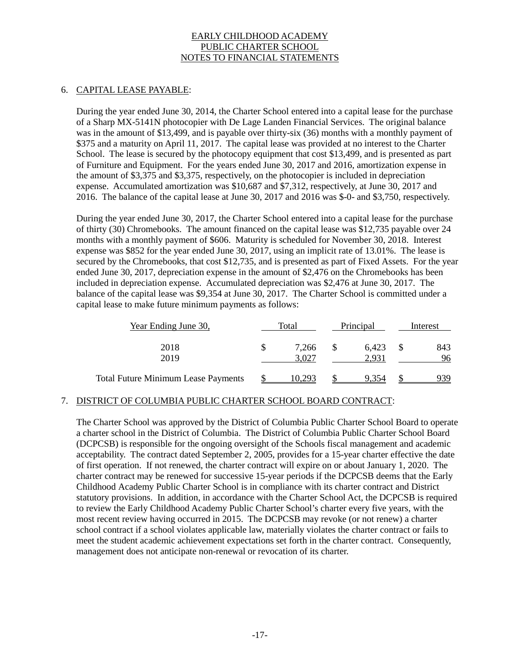## 6. CAPITAL LEASE PAYABLE:

During the year ended June 30, 2014, the Charter School entered into a capital lease for the purchase of a Sharp MX-5141N photocopier with De Lage Landen Financial Services. The original balance was in the amount of \$13,499, and is payable over thirty-six (36) months with a monthly payment of \$375 and a maturity on April 11, 2017. The capital lease was provided at no interest to the Charter School. The lease is secured by the photocopy equipment that cost \$13,499, and is presented as part of Furniture and Equipment. For the years ended June 30, 2017 and 2016, amortization expense in the amount of \$3,375 and \$3,375, respectively, on the photocopier is included in depreciation expense. Accumulated amortization was \$10,687 and \$7,312, respectively, at June 30, 2017 and 2016. The balance of the capital lease at June 30, 2017 and 2016 was \$-0- and \$3,750, respectively.

During the year ended June 30, 2017, the Charter School entered into a capital lease for the purchase of thirty (30) Chromebooks. The amount financed on the capital lease was \$12,735 payable over 24 months with a monthly payment of \$606. Maturity is scheduled for November 30, 2018. Interest expense was \$852 for the year ended June 30, 2017, using an implicit rate of 13.01%. The lease is secured by the Chromebooks, that cost \$12,735, and is presented as part of Fixed Assets. For the year ended June 30, 2017, depreciation expense in the amount of \$2,476 on the Chromebooks has been included in depreciation expense. Accumulated depreciation was \$2,476 at June 30, 2017. The balance of the capital lease was \$9,354 at June 30, 2017. The Charter School is committed under a capital lease to make future minimum payments as follows:

| Year Ending June 30,                       | Total          | Principal      | Interest  |
|--------------------------------------------|----------------|----------------|-----------|
| 2018<br>2019                               | 7.266<br>3.027 | 6.423<br>2.931 | 843<br>96 |
| <b>Total Future Minimum Lease Payments</b> | 10.293         | 9.354          | 939       |

## 7. DISTRICT OF COLUMBIA PUBLIC CHARTER SCHOOL BOARD CONTRACT:

The Charter School was approved by the District of Columbia Public Charter School Board to operate a charter school in the District of Columbia. The District of Columbia Public Charter School Board (DCPCSB) is responsible for the ongoing oversight of the Schools fiscal management and academic acceptability. The contract dated September 2, 2005, provides for a 15-year charter effective the date of first operation. If not renewed, the charter contract will expire on or about January 1, 2020. The charter contract may be renewed for successive 15-year periods if the DCPCSB deems that the Early Childhood Academy Public Charter School is in compliance with its charter contract and District statutory provisions. In addition, in accordance with the Charter School Act, the DCPCSB is required to review the Early Childhood Academy Public Charter School's charter every five years, with the most recent review having occurred in 2015. The DCPCSB may revoke (or not renew) a charter school contract if a school violates applicable law, materially violates the charter contract or fails to meet the student academic achievement expectations set forth in the charter contract. Consequently, management does not anticipate non-renewal or revocation of its charter.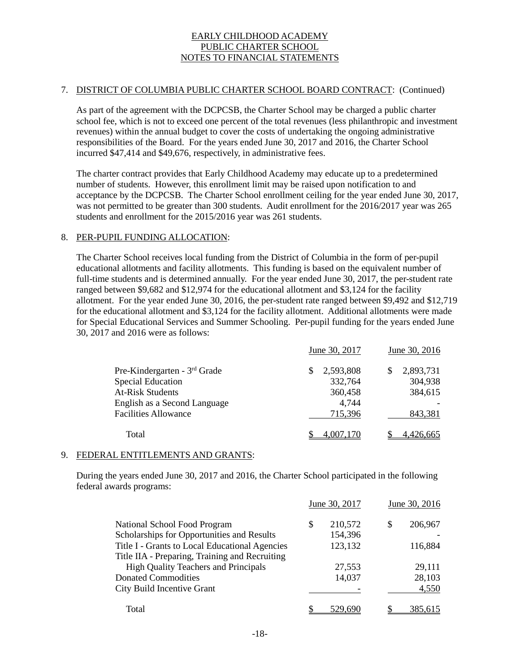## 7. DISTRICT OF COLUMBIA PUBLIC CHARTER SCHOOL BOARD CONTRACT: (Continued)

As part of the agreement with the DCPCSB, the Charter School may be charged a public charter school fee, which is not to exceed one percent of the total revenues (less philanthropic and investment revenues) within the annual budget to cover the costs of undertaking the ongoing administrative responsibilities of the Board. For the years ended June 30, 2017 and 2016, the Charter School incurred \$47,414 and \$49,676, respectively, in administrative fees.

The charter contract provides that Early Childhood Academy may educate up to a predetermined number of students. However, this enrollment limit may be raised upon notification to and acceptance by the DCPCSB. The Charter School enrollment ceiling for the year ended June 30, 2017, was not permitted to be greater than 300 students. Audit enrollment for the 2016/2017 year was 265 students and enrollment for the 2015/2016 year was 261 students.

### 8. PER-PUPIL FUNDING ALLOCATION:

The Charter School receives local funding from the District of Columbia in the form of per-pupil educational allotments and facility allotments. This funding is based on the equivalent number of full-time students and is determined annually. For the year ended June 30, 2017, the per-student rate ranged between \$9,682 and \$12,974 for the educational allotment and \$3,124 for the facility allotment. For the year ended June 30, 2016, the per-student rate ranged between \$9,492 and \$12,719 for the educational allotment and \$3,124 for the facility allotment. Additional allotments were made for Special Educational Services and Summer Schooling. Per-pupil funding for the years ended June 30, 2017 and 2016 were as follows:

|                              | June 30, 2017 | June 30, 2016 |
|------------------------------|---------------|---------------|
| Pre-Kindergarten - 3rd Grade | 2,593,808     | 2,893,731     |
| <b>Special Education</b>     | 332,764       | 304,938       |
| <b>At-Risk Students</b>      | 360,458       | 384,615       |
| English as a Second Language | 4,744         |               |
| <b>Facilities Allowance</b>  | 715,396       | 843,381       |
| Total                        | 4,007,170     | 4,426,665     |

## 9. FEDERAL ENTITLEMENTS AND GRANTS:

During the years ended June 30, 2017 and 2016, the Charter School participated in the following federal awards programs:

|                                                |   | June 30, 2017 |   | June 30, 2016 |
|------------------------------------------------|---|---------------|---|---------------|
| National School Food Program                   | S | 210,572       | S | 206,967       |
| Scholarships for Opportunities and Results     |   | 154,396       |   |               |
| Title I - Grants to Local Educational Agencies |   | 123,132       |   | 116,884       |
| Title IIA - Preparing, Training and Recruiting |   |               |   |               |
| <b>High Quality Teachers and Principals</b>    |   | 27,553        |   | 29,111        |
| <b>Donated Commodities</b>                     |   | 14,037        |   | 28,103        |
| City Build Incentive Grant                     |   |               |   | 4,550         |
|                                                |   |               |   |               |
| Total                                          |   |               |   | 385.615       |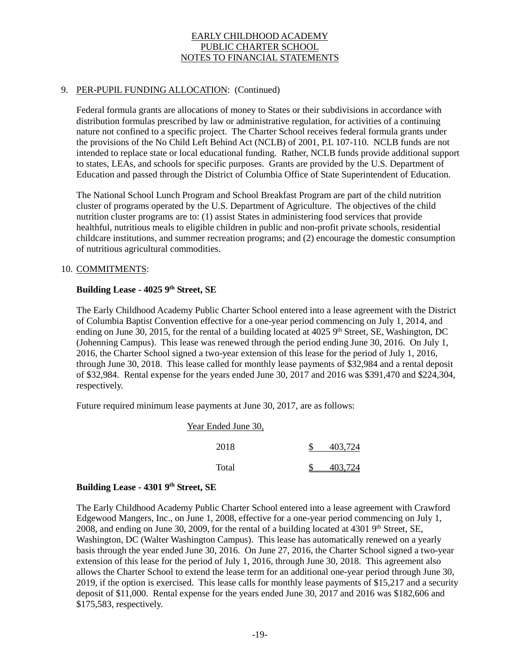# 9. PER-PUPIL FUNDING ALLOCATION: (Continued)

Federal formula grants are allocations of money to States or their subdivisions in accordance with distribution formulas prescribed by law or administrative regulation, for activities of a continuing nature not confined to a specific project. The Charter School receives federal formula grants under the provisions of the No Child Left Behind Act (NCLB) of 2001, P.L 107-110. NCLB funds are not intended to replace state or local educational funding. Rather, NCLB funds provide additional support to states, LEAs, and schools for specific purposes. Grants are provided by the U.S. Department of Education and passed through the District of Columbia Office of State Superintendent of Education.

The National School Lunch Program and School Breakfast Program are part of the child nutrition cluster of programs operated by the U.S. Department of Agriculture. The objectives of the child nutrition cluster programs are to: (1) assist States in administering food services that provide healthful, nutritious meals to eligible children in public and non-profit private schools, residential childcare institutions, and summer recreation programs; and (2) encourage the domestic consumption of nutritious agricultural commodities.

## 10. COMMITMENTS:

## **Building Lease - 4025 9th Street, SE**

The Early Childhood Academy Public Charter School entered into a lease agreement with the District of Columbia Baptist Convention effective for a one-year period commencing on July 1, 2014, and ending on June  $30$ , 2015, for the rental of a building located at 4025  $9<sup>th</sup>$  Street, SE, Washington, DC (Johenning Campus). This lease was renewed through the period ending June 30, 2016. On July 1, 2016, the Charter School signed a two-year extension of this lease for the period of July 1, 2016, through June 30, 2018. This lease called for monthly lease payments of \$32,984 and a rental deposit of \$32,984. Rental expense for the years ended June 30, 2017 and 2016 was \$391,470 and \$224,304, respectively.

Future required minimum lease payments at June 30, 2017, are as follows:

| Year Ended June 30, |         |
|---------------------|---------|
| 2018                | 403.724 |
| Total               | 403.724 |

## **Building Lease - 4301 9th Street, SE**

The Early Childhood Academy Public Charter School entered into a lease agreement with Crawford Edgewood Mangers, Inc., on June 1, 2008, effective for a one-year period commencing on July 1, 2008, and ending on June 30, 2009, for the rental of a building located at 4301  $9<sup>th</sup>$  Street, SE, Washington, DC (Walter Washington Campus). This lease has automatically renewed on a yearly basis through the year ended June 30, 2016. On June 27, 2016, the Charter School signed a two-year extension of this lease for the period of July 1, 2016, through June 30, 2018. This agreement also allows the Charter School to extend the lease term for an additional one-year period through June 30, 2019, if the option is exercised. This lease calls for monthly lease payments of \$15,217 and a security deposit of \$11,000. Rental expense for the years ended June 30, 2017 and 2016 was \$182,606 and \$175,583, respectively.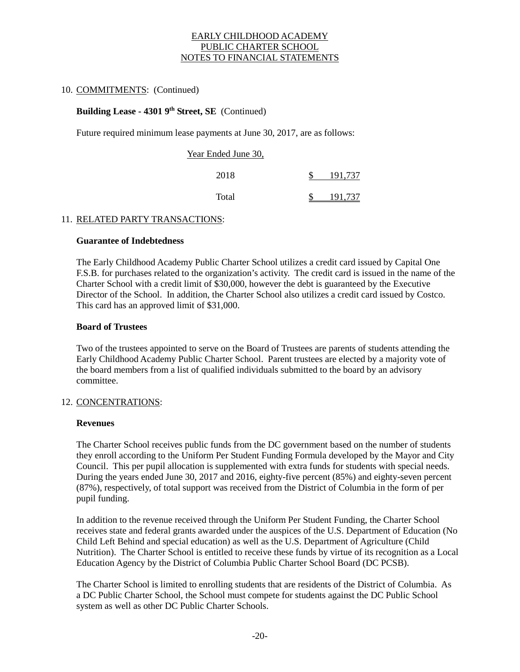# 10. COMMITMENTS: (Continued)

# **Building Lease - 4301 9th Street, SE** (Continued)

Future required minimum lease payments at June 30, 2017, are as follows:

# Year Ended June 30,

| 2018  | 191,737 |
|-------|---------|
| Total | 191,737 |

## 11. RELATED PARTY TRANSACTIONS:

## **Guarantee of Indebtedness**

The Early Childhood Academy Public Charter School utilizes a credit card issued by Capital One F.S.B. for purchases related to the organization's activity. The credit card is issued in the name of the Charter School with a credit limit of \$30,000, however the debt is guaranteed by the Executive Director of the School. In addition, the Charter School also utilizes a credit card issued by Costco. This card has an approved limit of \$31,000.

## **Board of Trustees**

Two of the trustees appointed to serve on the Board of Trustees are parents of students attending the Early Childhood Academy Public Charter School. Parent trustees are elected by a majority vote of the board members from a list of qualified individuals submitted to the board by an advisory committee.

## 12. CONCENTRATIONS:

#### **Revenues**

The Charter School receives public funds from the DC government based on the number of students they enroll according to the Uniform Per Student Funding Formula developed by the Mayor and City Council. This per pupil allocation is supplemented with extra funds for students with special needs. During the years ended June 30, 2017 and 2016, eighty-five percent (85%) and eighty-seven percent (87%), respectively, of total support was received from the District of Columbia in the form of per pupil funding.

In addition to the revenue received through the Uniform Per Student Funding, the Charter School receives state and federal grants awarded under the auspices of the U.S. Department of Education (No Child Left Behind and special education) as well as the U.S. Department of Agriculture (Child Nutrition). The Charter School is entitled to receive these funds by virtue of its recognition as a Local Education Agency by the District of Columbia Public Charter School Board (DC PCSB).

The Charter School is limited to enrolling students that are residents of the District of Columbia. As a DC Public Charter School, the School must compete for students against the DC Public School system as well as other DC Public Charter Schools.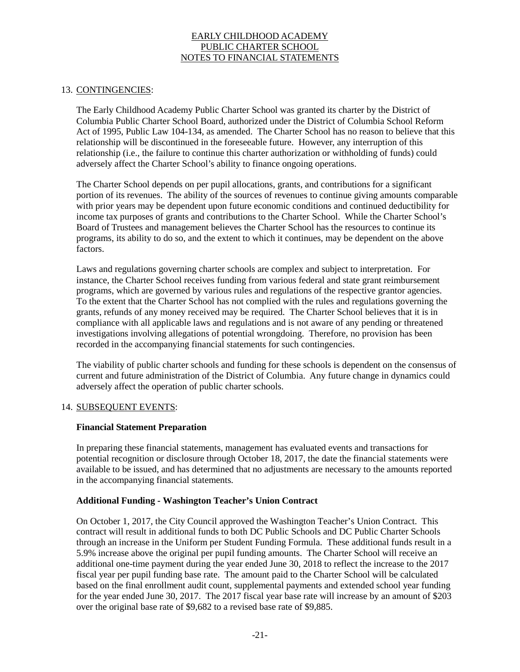## 13. CONTINGENCIES:

The Early Childhood Academy Public Charter School was granted its charter by the District of Columbia Public Charter School Board, authorized under the District of Columbia School Reform Act of 1995, Public Law 104-134, as amended. The Charter School has no reason to believe that this relationship will be discontinued in the foreseeable future. However, any interruption of this relationship (i.e., the failure to continue this charter authorization or withholding of funds) could adversely affect the Charter School's ability to finance ongoing operations.

The Charter School depends on per pupil allocations, grants, and contributions for a significant portion of its revenues. The ability of the sources of revenues to continue giving amounts comparable with prior years may be dependent upon future economic conditions and continued deductibility for income tax purposes of grants and contributions to the Charter School. While the Charter School's Board of Trustees and management believes the Charter School has the resources to continue its programs, its ability to do so, and the extent to which it continues, may be dependent on the above factors.

Laws and regulations governing charter schools are complex and subject to interpretation. For instance, the Charter School receives funding from various federal and state grant reimbursement programs, which are governed by various rules and regulations of the respective grantor agencies. To the extent that the Charter School has not complied with the rules and regulations governing the grants, refunds of any money received may be required. The Charter School believes that it is in compliance with all applicable laws and regulations and is not aware of any pending or threatened investigations involving allegations of potential wrongdoing. Therefore, no provision has been recorded in the accompanying financial statements for such contingencies.

The viability of public charter schools and funding for these schools is dependent on the consensus of current and future administration of the District of Columbia. Any future change in dynamics could adversely affect the operation of public charter schools.

## 14. SUBSEQUENT EVENTS:

#### **Financial Statement Preparation**

In preparing these financial statements, management has evaluated events and transactions for potential recognition or disclosure through October 18, 2017, the date the financial statements were available to be issued, and has determined that no adjustments are necessary to the amounts reported in the accompanying financial statements.

#### **Additional Funding - Washington Teacher's Union Contract**

On October 1, 2017, the City Council approved the Washington Teacher's Union Contract. This contract will result in additional funds to both DC Public Schools and DC Public Charter Schools through an increase in the Uniform per Student Funding Formula. These additional funds result in a 5.9% increase above the original per pupil funding amounts. The Charter School will receive an additional one-time payment during the year ended June 30, 2018 to reflect the increase to the 2017 fiscal year per pupil funding base rate. The amount paid to the Charter School will be calculated based on the final enrollment audit count, supplemental payments and extended school year funding for the year ended June 30, 2017. The 2017 fiscal year base rate will increase by an amount of \$203 over the original base rate of \$9,682 to a revised base rate of \$9,885.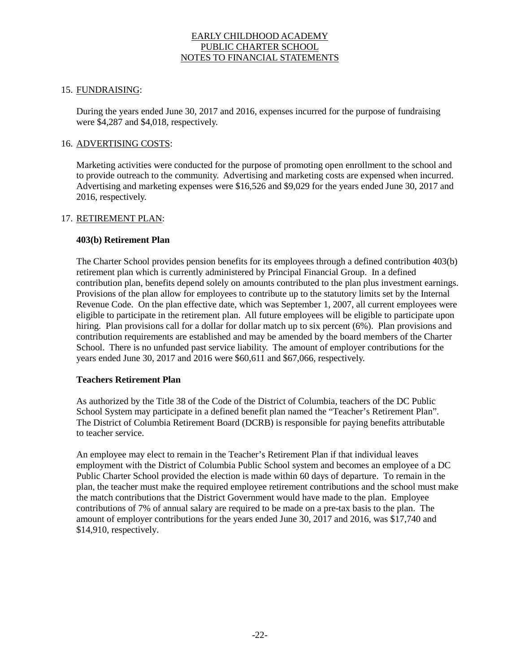## 15. FUNDRAISING:

During the years ended June 30, 2017 and 2016, expenses incurred for the purpose of fundraising were \$4,287 and \$4,018, respectively.

### 16. ADVERTISING COSTS:

Marketing activities were conducted for the purpose of promoting open enrollment to the school and to provide outreach to the community. Advertising and marketing costs are expensed when incurred. Advertising and marketing expenses were \$16,526 and \$9,029 for the years ended June 30, 2017 and 2016, respectively.

## 17. RETIREMENT PLAN:

### **403(b) Retirement Plan**

The Charter School provides pension benefits for its employees through a defined contribution 403(b) retirement plan which is currently administered by Principal Financial Group. In a defined contribution plan, benefits depend solely on amounts contributed to the plan plus investment earnings. Provisions of the plan allow for employees to contribute up to the statutory limits set by the Internal Revenue Code. On the plan effective date, which was September 1, 2007, all current employees were eligible to participate in the retirement plan. All future employees will be eligible to participate upon hiring. Plan provisions call for a dollar for dollar match up to six percent (6%). Plan provisions and contribution requirements are established and may be amended by the board members of the Charter School. There is no unfunded past service liability. The amount of employer contributions for the years ended June 30, 2017 and 2016 were \$60,611 and \$67,066, respectively.

## **Teachers Retirement Plan**

As authorized by the Title 38 of the Code of the District of Columbia, teachers of the DC Public School System may participate in a defined benefit plan named the "Teacher's Retirement Plan". The District of Columbia Retirement Board (DCRB) is responsible for paying benefits attributable to teacher service.

An employee may elect to remain in the Teacher's Retirement Plan if that individual leaves employment with the District of Columbia Public School system and becomes an employee of a DC Public Charter School provided the election is made within 60 days of departure. To remain in the plan, the teacher must make the required employee retirement contributions and the school must make the match contributions that the District Government would have made to the plan. Employee contributions of 7% of annual salary are required to be made on a pre-tax basis to the plan. The amount of employer contributions for the years ended June 30, 2017 and 2016, was \$17,740 and \$14,910, respectively.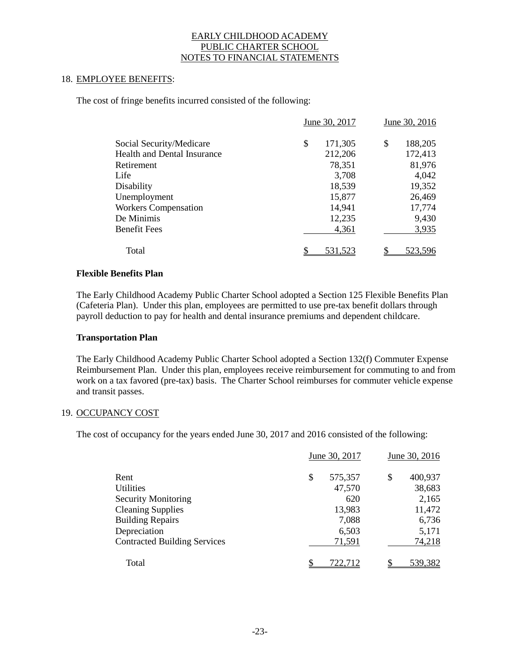## 18. EMPLOYEE BENEFITS:

The cost of fringe benefits incurred consisted of the following:

|                                    | June 30, 2017 | June 30, 2016 |
|------------------------------------|---------------|---------------|
| Social Security/Medicare           | \$<br>171,305 | \$<br>188,205 |
| <b>Health and Dental Insurance</b> | 212,206       | 172,413       |
| Retirement                         | 78,351        | 81,976        |
| Life                               | 3,708         | 4,042         |
| Disability                         | 18,539        | 19,352        |
| Unemployment                       | 15,877        | 26,469        |
| <b>Workers Compensation</b>        | 14,941        | 17,774        |
| De Minimis                         | 12,235        | 9,430         |
| <b>Benefit Fees</b>                | 4,361         | 3,935         |
| Total                              | 531,523       | 523.596       |

### **Flexible Benefits Plan**

The Early Childhood Academy Public Charter School adopted a Section 125 Flexible Benefits Plan (Cafeteria Plan). Under this plan, employees are permitted to use pre-tax benefit dollars through payroll deduction to pay for health and dental insurance premiums and dependent childcare.

#### **Transportation Plan**

The Early Childhood Academy Public Charter School adopted a Section 132(f) Commuter Expense Reimbursement Plan. Under this plan, employees receive reimbursement for commuting to and from work on a tax favored (pre-tax) basis. The Charter School reimburses for commuter vehicle expense and transit passes.

#### 19. OCCUPANCY COST

The cost of occupancy for the years ended June 30, 2017 and 2016 consisted of the following:

|                                     | June 30, 2017 |    | June 30, 2016 |
|-------------------------------------|---------------|----|---------------|
| Rent                                | \$<br>575,357 | \$ | 400,937       |
| <b>Utilities</b>                    | 47,570        |    | 38,683        |
| <b>Security Monitoring</b>          | 620           |    | 2,165         |
| <b>Cleaning Supplies</b>            | 13,983        |    | 11,472        |
| <b>Building Repairs</b>             | 7,088         |    | 6,736         |
| Depreciation                        | 6,503         |    | 5,171         |
| <b>Contracted Building Services</b> | 71,591        |    | 74,218        |
| Total                               | \$<br>TZZ.    | Φ  | 539.382       |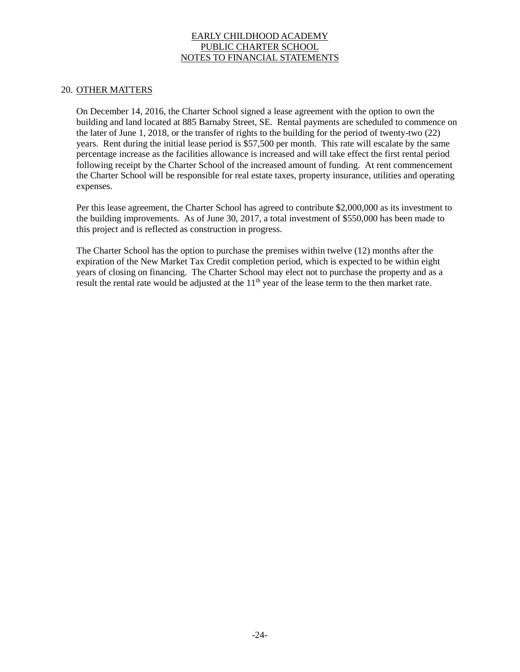## 20. OTHER MATTERS

On December 14, 2016, the Charter School signed a lease agreement with the option to own the building and land located at 885 Barnaby Street, SE. Rental payments are scheduled to commence on the later of June 1, 2018, or the transfer of rights to the building for the period of twenty-two (22) years. Rent during the initial lease period is \$57,500 per month. This rate will escalate by the same percentage increase as the facilities allowance is increased and will take effect the first rental period following receipt by the Charter School of the increased amount of funding. At rent commencement the Charter School will be responsible for real estate taxes, property insurance, utilities and operating expenses.

Per this lease agreement, the Charter School has agreed to contribute \$2,000,000 as its investment to the building improvements. As of June 30, 2017, a total investment of \$550,000 has been made to this project and is reflected as construction in progress.

The Charter School has the option to purchase the premises within twelve (12) months after the expiration of the New Market Tax Credit completion period, which is expected to be within eight years of closing on financing. The Charter School may elect not to purchase the property and as a result the rental rate would be adjusted at the  $11<sup>th</sup>$  year of the lease term to the then market rate.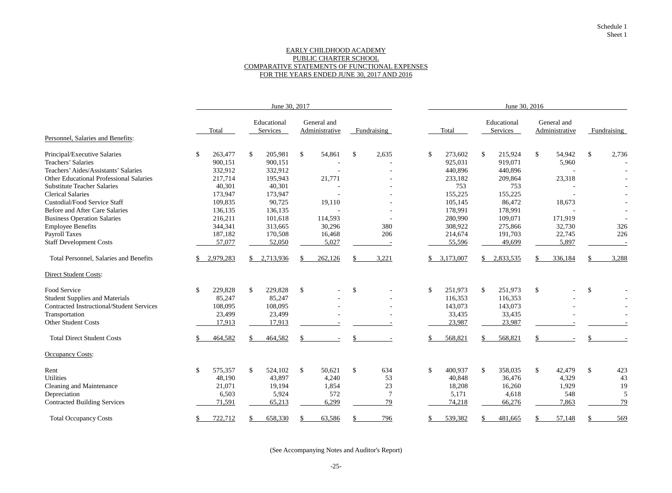## EARLY CHILDHOOD ACADEMY PUBLIC CHARTER SCHOOL COMPARATIVE STATEMENTS OF FUNCTIONAL EXPENSES FOR THE YEARS ENDED JUNE 30, 2017 AND 2016

|                                                  | June 30, 2017            |  |                          |                           |                               |               | June 30, 2016 |               |           |               |                         |                           |                               |               |                    |
|--------------------------------------------------|--------------------------|--|--------------------------|---------------------------|-------------------------------|---------------|---------------|---------------|-----------|---------------|-------------------------|---------------------------|-------------------------------|---------------|--------------------|
|                                                  | Total                    |  | Educational<br>Services  |                           | General and<br>Administrative |               | Fundraising   |               | Total     |               | Educational<br>Services |                           | General and<br>Administrative |               | <b>Fundraising</b> |
| Personnel, Salaries and Benefits:                |                          |  |                          |                           |                               |               |               |               |           |               |                         |                           |                               |               |                    |
| Principal/Executive Salaries                     | 263,477<br>$\mathbb{S}$  |  | $\mathcal{L}$<br>205,981 | $\mathbb{S}$              | 54,861                        | $\mathbb{S}$  | 2,635         | $\mathbb{S}$  | 273,602   | \$            | 215,924                 | $\boldsymbol{\mathsf{S}}$ | 54,942                        | $\mathbb{S}$  | 2,736              |
| Teachers' Salaries                               | 900,151                  |  | 900,151                  |                           |                               |               |               |               | 925,031   |               | 919,071                 |                           | 5,960                         |               |                    |
| Teachers' Aides/Assistants' Salaries             | 332,912                  |  | 332,912                  |                           |                               |               |               |               | 440,896   |               | 440,896                 |                           |                               |               |                    |
| <b>Other Educational Professional Salaries</b>   | 217,714                  |  | 195,943                  |                           | 21,771                        |               |               |               | 233,182   |               | 209,864                 |                           | 23,318                        |               |                    |
| <b>Substitute Teacher Salaries</b>               | 40,301                   |  | 40,301                   |                           |                               |               |               |               | 753       |               | 753                     |                           |                               |               |                    |
| <b>Clerical Salaries</b>                         | 173,947                  |  | 173,947                  |                           |                               |               |               |               | 155,225   |               | 155,225                 |                           |                               |               |                    |
| <b>Custodial/Food Service Staff</b>              | 109,835                  |  | 90,725                   |                           | 19,110                        |               |               |               | 105,145   |               | 86,472                  |                           | 18,673                        |               |                    |
| <b>Before and After Care Salaries</b>            | 136,135                  |  | 136,135                  |                           |                               |               |               |               | 178,991   |               | 178,991                 |                           |                               |               |                    |
| <b>Business Operation Salaries</b>               | 216,211                  |  | 101,618                  |                           | 114,593                       |               |               |               | 280,990   |               | 109,071                 |                           | 171,919                       |               |                    |
| <b>Employee Benefits</b>                         | 344,341                  |  | 313,665                  |                           | 30,296                        |               | 380           |               | 308,922   |               | 275,866                 |                           | 32,730                        |               | 326                |
| <b>Payroll Taxes</b>                             | 187,182                  |  | 170,508                  |                           | 16,468                        |               | 206           |               | 214,674   |               | 191,703                 |                           | 22,745                        |               | 226                |
| <b>Staff Development Costs</b>                   | 57,077                   |  | 52,050                   |                           | 5,027                         |               |               |               | 55,596    |               | 49,699                  |                           | 5,897                         |               |                    |
| Total Personnel, Salaries and Benefits           | 2,979,283<br>\$          |  | 2,713,936<br>S.          |                           | 262,126                       |               | 3,221         |               | 3,173,007 | $\mathbb{S}$  | 2,833,535               |                           | 336,184                       |               | 3,288              |
| <b>Direct Student Costs:</b>                     |                          |  |                          |                           |                               |               |               |               |           |               |                         |                           |                               |               |                    |
| Food Service                                     | $\frac{1}{2}$<br>229,828 |  | 229,828<br>$\mathcal{S}$ | $\boldsymbol{\mathsf{S}}$ |                               | $\mathcal{S}$ |               | \$            | 251,973   | $\mathcal{S}$ | 251,973                 | $\mathcal{S}$             |                               | $\sqrt{3}$    |                    |
| <b>Student Supplies and Materials</b>            | 85,247                   |  | 85,247                   |                           |                               |               |               |               | 116,353   |               | 116,353                 |                           |                               |               |                    |
| <b>Contracted Instructional/Student Services</b> | 108,095                  |  | 108,095                  |                           |                               |               |               |               | 143,073   |               | 143,073                 |                           |                               |               |                    |
| Transportation                                   | 23,499                   |  | 23,499                   |                           |                               |               |               |               | 33,435    |               | 33,435                  |                           |                               |               |                    |
| <b>Other Student Costs</b>                       | 17,913                   |  | 17,913                   |                           |                               |               |               |               | 23,987    |               | 23,987                  |                           |                               |               |                    |
| <b>Total Direct Student Costs</b>                | 464,582                  |  | 464,582                  |                           |                               |               |               |               | 568,821   |               | 568,821                 |                           |                               |               |                    |
| <b>Occupancy Costs:</b>                          |                          |  |                          |                           |                               |               |               |               |           |               |                         |                           |                               |               |                    |
| Rent                                             | $\mathbb{S}$<br>575,357  |  | 524,102<br>$\mathbb{S}$  | $\mathcal{S}$             | 50,621                        | $\mathcal{S}$ | 634           | $\mathcal{S}$ | 400,937   | $\mathbb{S}$  | 358,035                 | $\mathbb{S}$              | 42,479                        | $\mathcal{S}$ | 423                |
| Utilities                                        | 48,190                   |  | 43,897                   |                           | 4,240                         |               | 53            |               | 40,848    |               | 36,476                  |                           | 4,329                         |               | 43                 |
| <b>Cleaning and Maintenance</b>                  | 21,071                   |  | 19,194                   |                           | 1,854                         |               | 23            |               | 18,208    |               | 16,260                  |                           | 1,929                         |               | 19                 |
| Depreciation                                     | 6,503                    |  | 5,924                    |                           | 572                           |               | $\tau$        |               | 5,171     |               | 4,618                   |                           | 548                           |               | 5                  |
| <b>Contracted Building Services</b>              | 71,591                   |  | 65,213                   |                           | 6,299                         |               | 79            |               | 74,218    |               | 66,276                  |                           | 7,863                         |               | 79                 |
| <b>Total Occupancy Costs</b>                     | 722,712                  |  | 658,330                  |                           | 63,586                        |               | 796           |               | 539,382   |               | 481,665                 |                           | 57,148                        |               | 569                |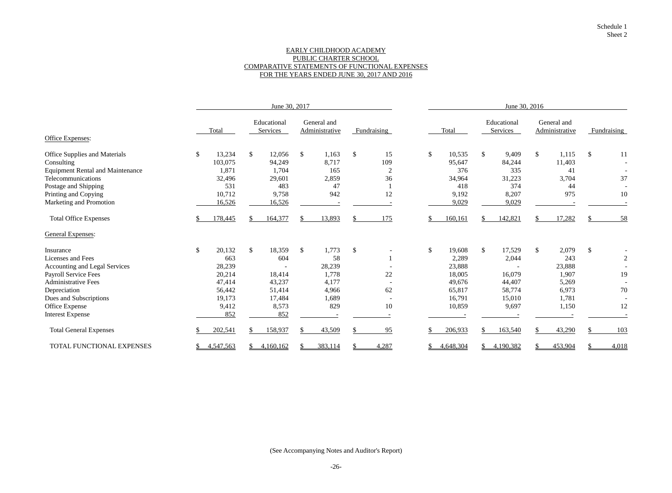# EARLY CHILDHOOD ACADEMY PUBLIC CHARTER SCHOOL COMPARATIVE STATEMENTS OF FUNCTIONAL EXPENSES FOR THE YEARS ENDED JUNE 30, 2017 AND 2016

|                                         | June 30, 2017 |              |                                |               |                               |                           | June 30, 2016  |    |           |    |                         |              |                               |               |             |
|-----------------------------------------|---------------|--------------|--------------------------------|---------------|-------------------------------|---------------------------|----------------|----|-----------|----|-------------------------|--------------|-------------------------------|---------------|-------------|
|                                         | Total         |              | Educational<br><b>Services</b> |               | General and<br>Administrative |                           | Fundraising    |    | Total     |    | Educational<br>Services |              | General and<br>Administrative |               | Fundraising |
| Office Expenses:                        |               |              |                                |               |                               |                           |                |    |           |    |                         |              |                               |               |             |
| <b>Office Supplies and Materials</b>    | \$<br>13,234  | $\mathbb{S}$ | 12,056                         | $\sqrt$       | 1,163                         | $\boldsymbol{\mathsf{S}}$ | 15             | \$ | 10,535    | \$ | 9,409                   | $\mathbb{S}$ | 1,115                         | $\mathcal{S}$ | 11          |
| Consulting                              | 103,075       |              | 94,249                         |               | 8,717                         |                           | 109            |    | 95,647    |    | 84,244                  |              | 11,403                        |               |             |
| <b>Equipment Rental and Maintenance</b> | 1,871         |              | 1,704                          |               | 165                           |                           | $\overline{2}$ |    | 376       |    | 335                     |              | 41                            |               |             |
| Telecommunications                      | 32,496        |              | 29,601                         |               | 2,859                         |                           | 36             |    | 34,964    |    | 31,223                  |              | 3,704                         |               | 37          |
| Postage and Shipping                    | 531           |              | 483                            |               | 47                            |                           |                |    | 418       |    | 374                     |              | 44                            |               |             |
| Printing and Copying                    | 10,712        |              | 9,758                          |               | 942                           |                           | 12             |    | 9,192     |    | 8,207                   |              | 975                           |               | 10          |
| Marketing and Promotion                 | 16,526        |              | 16,526                         |               |                               |                           |                |    | 9,029     |    | 9,029                   |              |                               |               |             |
| <b>Total Office Expenses</b>            | 178,445       |              | 164,377                        |               | 13,893                        |                           | 175            |    | 160,161   |    | 142,821                 |              | 17,282                        |               | 58          |
| <b>General Expenses:</b>                |               |              |                                |               |                               |                           |                |    |           |    |                         |              |                               |               |             |
| Insurance                               | \$<br>20,132  | \$           | 18,359                         | $\mathcal{S}$ | 1,773                         | \$                        |                | \$ | 19,608    | \$ | 17,529                  | $\mathbb{S}$ | 2,079                         | $\mathcal{S}$ |             |
| Licenses and Fees                       | 663           |              | 604                            |               | 58                            |                           |                |    | 2,289     |    | 2,044                   |              | 243                           |               | 2           |
| Accounting and Legal Services           | 28,239        |              |                                |               | 28,239                        |                           |                |    | 23,888    |    |                         |              | 23,888                        |               |             |
| <b>Payroll Service Fees</b>             | 20,214        |              | 18,414                         |               | 1,778                         |                           | 22             |    | 18,005    |    | 16,079                  |              | 1,907                         |               | 19          |
| <b>Administrative Fees</b>              | 47,414        |              | 43,237                         |               | 4,177                         |                           |                |    | 49,676    |    | 44,407                  |              | 5,269                         |               |             |
| Depreciation                            | 56,442        |              | 51,414                         |               | 4,966                         |                           | 62             |    | 65,817    |    | 58,774                  |              | 6,973                         |               | 70          |
| Dues and Subscriptions                  | 19,173        |              | 17,484                         |               | 1,689                         |                           |                |    | 16,791    |    | 15,010                  |              | 1,781                         |               |             |
| Office Expense                          | 9,412         |              | 8,573                          |               | 829                           |                           | 10             |    | 10,859    |    | 9,697                   |              | 1,150                         |               | 12          |
| <b>Interest Expense</b>                 | 852           |              | 852                            |               |                               |                           |                |    |           |    |                         |              |                               |               |             |
| <b>Total General Expenses</b>           | 202,541       |              | 158,937                        |               | 43,509                        |                           | 95             |    | 206,933   |    | 163,540                 |              | 43,290                        |               | 103         |
| TOTAL FUNCTIONAL EXPENSES               | 4,547,563     |              | 4,160,162                      |               | 383,114                       |                           | 4,287          |    | 4,648,304 |    | 4,190,382               |              | 453,904                       |               | 4,018       |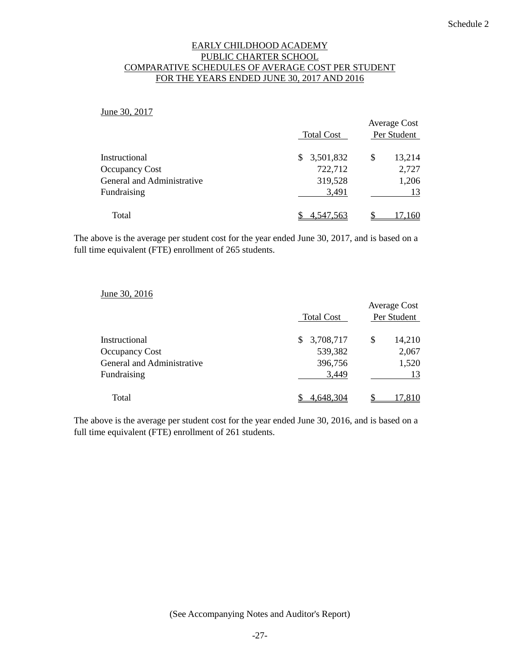# EARLY CHILDHOOD ACADEMY PUBLIC CHARTER SCHOOL COMPARATIVE SCHEDULES OF AVERAGE COST PER STUDENT FOR THE YEARS ENDED JUNE 30, 2017 AND 2016

### June 30, 2017

|                            | <b>Total Cost</b> | <b>Average Cost</b><br>Per Student |  |  |  |  |  |
|----------------------------|-------------------|------------------------------------|--|--|--|--|--|
| Instructional              | 3,501,832<br>S.   | 13,214<br>S                        |  |  |  |  |  |
| <b>Occupancy Cost</b>      | 722,712           | 2,727                              |  |  |  |  |  |
| General and Administrative | 319,528           | 1,206                              |  |  |  |  |  |
| Fundraising                | 3,491             | 13                                 |  |  |  |  |  |
| Total                      | 4.547,563         | 7,160                              |  |  |  |  |  |

The above is the average per student cost for the year ended June 30, 2017, and is based on a full time equivalent (FTE) enrollment of 265 students.

# June 30, 2016

|                            | <b>Total Cost</b> | <b>Average Cost</b><br>Per Student |    |  |  |  |
|----------------------------|-------------------|------------------------------------|----|--|--|--|
| Instructional              | 3,708,717<br>S.   | 14,210<br>S                        |    |  |  |  |
| <b>Occupancy Cost</b>      | 539,382           | 2,067                              |    |  |  |  |
| General and Administrative | 396,756           | 1,520                              |    |  |  |  |
| Fundraising                | 3,449             |                                    | 13 |  |  |  |
| Total                      | 4.648,304         | 7.810                              |    |  |  |  |

The above is the average per student cost for the year ended June 30, 2016, and is based on a full time equivalent (FTE) enrollment of 261 students.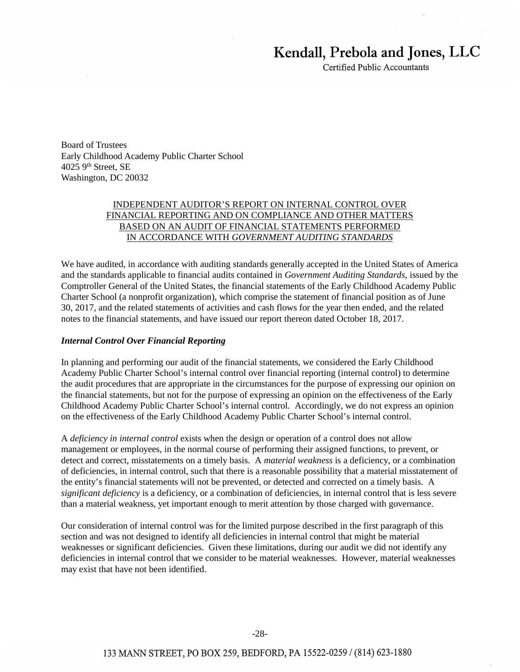# Kendall, Prebola and Jones, LLC

Certified Public Accountants

Board of Trustees Early Childhood Academy Public Charter School 4025 9th Street, SE Washington, DC 20032

# INDEPENDENT AUDITOR'S REPORT ON INTERNAL CONTROL OVER FINANCIAL REPORTING AND ON COMPLIANCE AND OTHER MATTERS BASED ON AN AUDIT OF FINANCIAL STATEMENTS PERFORMED IN ACCORDANCE WITH *GOVERNMENT AUDITING STANDARDS*

We have audited, in accordance with auditing standards generally accepted in the United States of America and the standards applicable to financial audits contained in *Government Auditing Standards*, issued by the Comptroller General of the United States, the financial statements of the Early Childhood Academy Public Charter School (a nonprofit organization), which comprise the statement of financial position as of June 30, 2017, and the related statements of activities and cash flows for the year then ended, and the related notes to the financial statements, and have issued our report thereon dated October 18, 2017.

#### *Internal Control Over Financial Reporting*

In planning and performing our audit of the financial statements, we considered the Early Childhood Academy Public Charter School's internal control over financial reporting (internal control) to determine the audit procedures that are appropriate in the circumstances for the purpose of expressing our opinion on the financial statements, but not for the purpose of expressing an opinion on the effectiveness of the Early Childhood Academy Public Charter School's internal control. Accordingly, we do not express an opinion on the effectiveness of the Early Childhood Academy Public Charter School's internal control.

A *deficiency in internal control* exists when the design or operation of a control does not allow management or employees, in the normal course of performing their assigned functions, to prevent, or detect and correct, misstatements on a timely basis. A *material weakness* is a deficiency, or a combination of deficiencies, in internal control, such that there is a reasonable possibility that a material misstatement of the entity's financial statements will not be prevented, or detected and corrected on a timely basis. A *significant deficiency* is a deficiency, or a combination of deficiencies, in internal control that is less severe than a material weakness, yet important enough to merit attention by those charged with governance.

Our consideration of internal control was for the limited purpose described in the first paragraph of this section and was not designed to identify all deficiencies in internal control that might be material weaknesses or significant deficiencies. Given these limitations, during our audit we did not identify any deficiencies in internal control that we consider to be material weaknesses. However, material weaknesses may exist that have not been identified.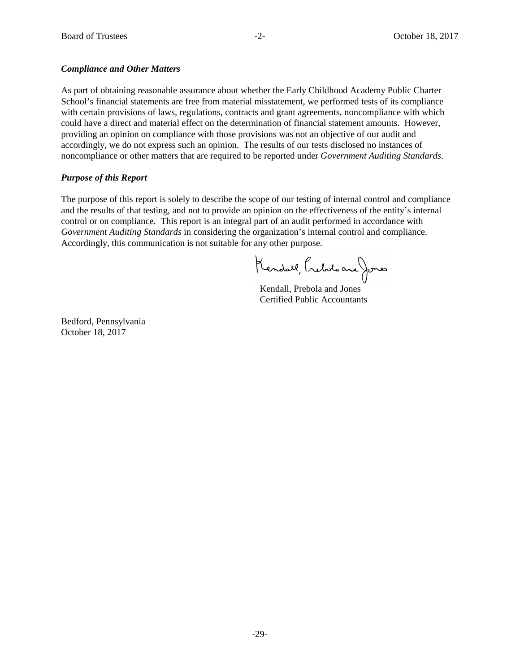## *Compliance and Other Matters*

As part of obtaining reasonable assurance about whether the Early Childhood Academy Public Charter School's financial statements are free from material misstatement, we performed tests of its compliance with certain provisions of laws, regulations, contracts and grant agreements, noncompliance with which could have a direct and material effect on the determination of financial statement amounts. However, providing an opinion on compliance with those provisions was not an objective of our audit and accordingly, we do not express such an opinion. The results of our tests disclosed no instances of noncompliance or other matters that are required to be reported under *Government Auditing Standards*.

# *Purpose of this Report*

The purpose of this report is solely to describe the scope of our testing of internal control and compliance and the results of that testing, and not to provide an opinion on the effectiveness of the entity's internal control or on compliance. This report is an integral part of an audit performed in accordance with *Government Auditing Standards* in considering the organization's internal control and compliance. Accordingly, this communication is not suitable for any other purpose.

Kendal, Prebia and Jones

Kendall, Prebola and Jones Certified Public Accountants

Bedford, Pennsylvania October 18, 2017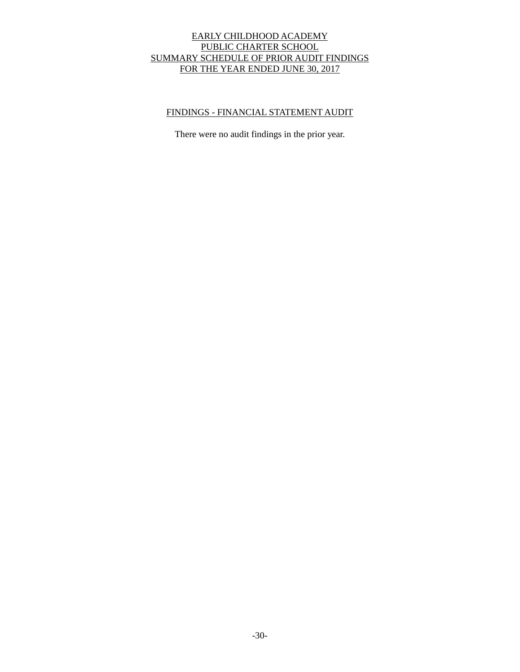# EARLY CHILDHOOD ACADEMY PUBLIC CHARTER SCHOOL SUMMARY SCHEDULE OF PRIOR AUDIT FINDINGS FOR THE YEAR ENDED JUNE 30, 2017

# FINDINGS - FINANCIAL STATEMENT AUDIT

There were no audit findings in the prior year.